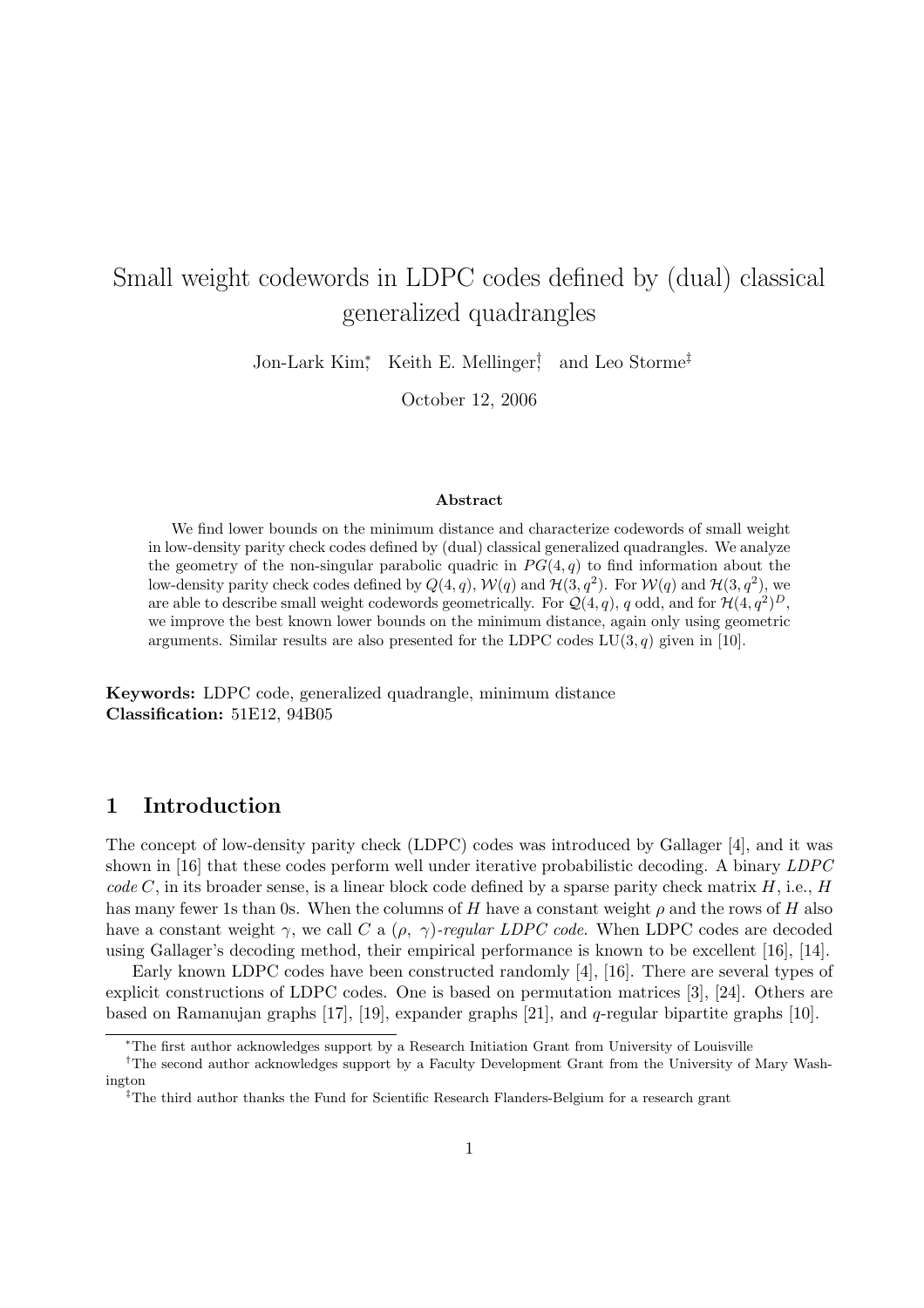# Small weight codewords in LDPC codes defined by (dual) classical generalized quadrangles

Jon-Lark Kim<sup>∗</sup> , Keith E. Mellinger† , and Leo Storme‡

October 12, 2006

#### Abstract

We find lower bounds on the minimum distance and characterize codewords of small weight in low-density parity check codes defined by (dual) classical generalized quadrangles. We analyze the geometry of the non-singular parabolic quadric in  $PG(4, q)$  to find information about the low-density parity check codes defined by  $Q(4, q)$ ,  $W(q)$  and  $H(3, q^2)$ . For  $W(q)$  and  $H(3, q^2)$ , we are able to describe small weight codewords geometrically. For  $\mathcal{Q}(4,q)$ , q odd, and for  $\mathcal{H}(4,q^2)^D$ , we improve the best known lower bounds on the minimum distance, again only using geometric arguments. Similar results are also presented for the LDPC codes  $LU(3, q)$  given in [10].

Keywords: LDPC code, generalized quadrangle, minimum distance Classification: 51E12, 94B05

### 1 Introduction

The concept of low-density parity check (LDPC) codes was introduced by Gallager [4], and it was shown in [16] that these codes perform well under iterative probabilistic decoding. A binary LDPC  $code C$ , in its broader sense, is a linear block code defined by a sparse parity check matrix  $H$ , i.e.,  $H$ has many fewer 1s than 0s. When the columns of H have a constant weight  $\rho$  and the rows of H also have a constant weight  $\gamma$ , we call C a  $(\rho, \gamma)$ -regular LDPC code. When LDPC codes are decoded using Gallager's decoding method, their empirical performance is known to be excellent [16], [14].

Early known LDPC codes have been constructed randomly [4], [16]. There are several types of explicit constructions of LDPC codes. One is based on permutation matrices [3], [24]. Others are based on Ramanujan graphs [17], [19], expander graphs [21], and q-regular bipartite graphs [10].

<sup>∗</sup>The first author acknowledges support by a Research Initiation Grant from University of Louisville

<sup>†</sup>The second author acknowledges support by a Faculty Development Grant from the University of Mary Washington

<sup>‡</sup>The third author thanks the Fund for Scientific Research Flanders-Belgium for a research grant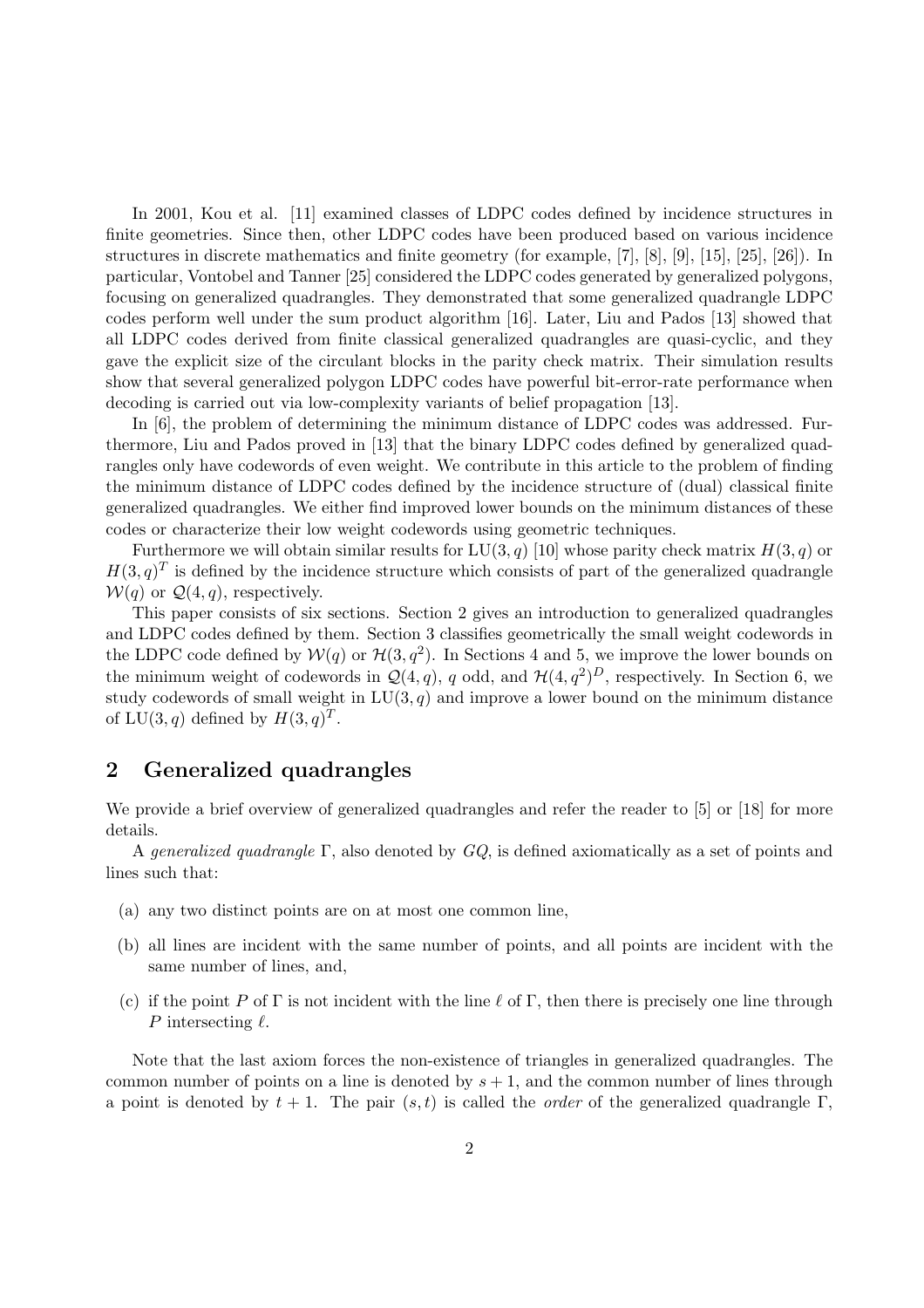In 2001, Kou et al. [11] examined classes of LDPC codes defined by incidence structures in finite geometries. Since then, other LDPC codes have been produced based on various incidence structures in discrete mathematics and finite geometry (for example, [7], [8], [9], [15], [25], [26]). In particular, Vontobel and Tanner [25] considered the LDPC codes generated by generalized polygons, focusing on generalized quadrangles. They demonstrated that some generalized quadrangle LDPC codes perform well under the sum product algorithm [16]. Later, Liu and Pados [13] showed that all LDPC codes derived from finite classical generalized quadrangles are quasi-cyclic, and they gave the explicit size of the circulant blocks in the parity check matrix. Their simulation results show that several generalized polygon LDPC codes have powerful bit-error-rate performance when decoding is carried out via low-complexity variants of belief propagation [13].

In [6], the problem of determining the minimum distance of LDPC codes was addressed. Furthermore, Liu and Pados proved in [13] that the binary LDPC codes defined by generalized quadrangles only have codewords of even weight. We contribute in this article to the problem of finding the minimum distance of LDPC codes defined by the incidence structure of (dual) classical finite generalized quadrangles. We either find improved lower bounds on the minimum distances of these codes or characterize their low weight codewords using geometric techniques.

Furthermore we will obtain similar results for  $LU(3, q)$  [10] whose parity check matrix  $H(3, q)$  or  $H(3, q)^T$  is defined by the incidence structure which consists of part of the generalized quadrangle  $W(q)$  or  $\mathcal{Q}(4,q)$ , respectively.

This paper consists of six sections. Section 2 gives an introduction to generalized quadrangles and LDPC codes defined by them. Section 3 classifies geometrically the small weight codewords in the LDPC code defined by  $W(q)$  or  $\mathcal{H}(3,q^2)$ . In Sections 4 and 5, we improve the lower bounds on the minimum weight of codewords in  $\mathcal{Q}(4,q)$ , q odd, and  $\mathcal{H}(4,q^2)^D$ , respectively. In Section 6, we study codewords of small weight in  $LU(3, q)$  and improve a lower bound on the minimum distance of  $LU(3, q)$  defined by  $H(3, q)^T$ .

### 2 Generalized quadrangles

We provide a brief overview of generalized quadrangles and refer the reader to [5] or [18] for more details.

A generalized quadrangle  $\Gamma$ , also denoted by  $GQ$ , is defined axiomatically as a set of points and lines such that:

- (a) any two distinct points are on at most one common line,
- (b) all lines are incident with the same number of points, and all points are incident with the same number of lines, and,
- (c) if the point P of Γ is not incident with the line  $\ell$  of Γ, then there is precisely one line through P intersecting  $\ell$ .

Note that the last axiom forces the non-existence of triangles in generalized quadrangles. The common number of points on a line is denoted by  $s + 1$ , and the common number of lines through a point is denoted by  $t + 1$ . The pair  $(s, t)$  is called the *order* of the generalized quadrangle Γ,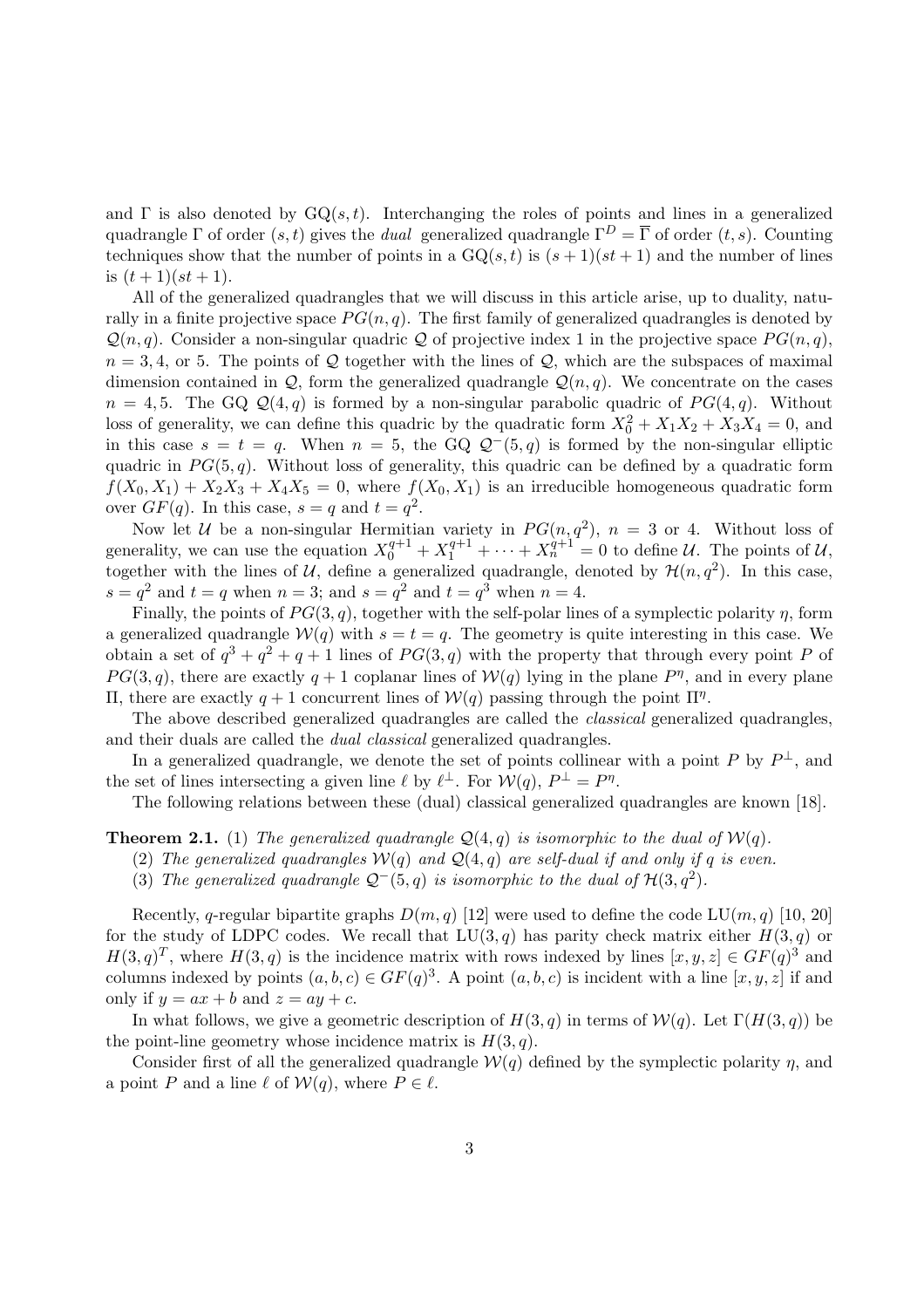and  $\Gamma$  is also denoted by  $\mathrm{GO}(s,t)$ . Interchanging the roles of points and lines in a generalized quadrangle Γ of order  $(s, t)$  gives the *dual* generalized quadrangle  $\Gamma^D = \overline{\Gamma}$  of order  $(t, s)$ . Counting techniques show that the number of points in a  $GQ(s, t)$  is  $(s + 1)(st + 1)$  and the number of lines is  $(t+1)(st+1)$ .

All of the generalized quadrangles that we will discuss in this article arise, up to duality, naturally in a finite projective space  $PG(n, q)$ . The first family of generalized quadrangles is denoted by  $\mathcal{Q}(n, q)$ . Consider a non-singular quadric  $\mathcal{Q}$  of projective index 1 in the projective space  $PG(n, q)$ ,  $n = 3, 4$ , or 5. The points of Q together with the lines of Q, which are the subspaces of maximal dimension contained in  $\mathcal{Q}$ , form the generalized quadrangle  $\mathcal{Q}(n,q)$ . We concentrate on the cases  $n = 4, 5$ . The GQ  $\mathcal{Q}(4,q)$  is formed by a non-singular parabolic quadric of  $PG(4,q)$ . Without loss of generality, we can define this quadric by the quadratic form  $X_0^2 + X_1X_2 + X_3X_4 = 0$ , and in this case  $s = t = q$ . When  $n = 5$ , the GQ  $\mathcal{Q}^-(5,q)$  is formed by the non-singular elliptic quadric in  $PG(5, q)$ . Without loss of generality, this quadric can be defined by a quadratic form  $f(X_0, X_1) + X_2X_3 + X_4X_5 = 0$ , where  $f(X_0, X_1)$  is an irreducible homogeneous quadratic form over  $GF(q)$ . In this case,  $s = q$  and  $t = q^2$ .

Now let U be a non-singular Hermitian variety in  $PG(n,q^2)$ ,  $n = 3$  or 4. Without loss of generality, we can use the equation  $X_0^{q+1} + X_1^{q+1} + \cdots + X_n^{q+1} = 0$  to define  $\mathcal{U}$ . The points of  $\mathcal{U}$ , together with the lines of U, define a generalized quadrangle, denoted by  $\mathcal{H}(n, q^2)$ . In this case,  $s = q^2$  and  $t = q$  when  $n = 3$ ; and  $s = q^2$  and  $t = q^3$  when  $n = 4$ .

Finally, the points of  $PG(3, q)$ , together with the self-polar lines of a symplectic polarity  $\eta$ , form a generalized quadrangle  $W(q)$  with  $s = t = q$ . The geometry is quite interesting in this case. We obtain a set of  $q^3 + q^2 + q + 1$  lines of  $PG(3, q)$  with the property that through every point P of  $PG(3, q)$ , there are exactly  $q + 1$  coplanar lines of  $W(q)$  lying in the plane  $P^{\eta}$ , and in every plane II, there are exactly  $q + 1$  concurrent lines of  $W(q)$  passing through the point  $\Pi^{\eta}$ .

The above described generalized quadrangles are called the classical generalized quadrangles, and their duals are called the *dual classical* generalized quadrangles.

In a generalized quadrangle, we denote the set of points collinear with a point P by  $P^{\perp}$ , and the set of lines intersecting a given line  $\ell$  by  $\ell^{\perp}$ . For  $\mathcal{W}(q)$ ,  $P^{\perp} = P^{\eta}$ .

The following relations between these (dual) classical generalized quadrangles are known [18].

**Theorem 2.1.** (1) The generalized quadrangle  $\mathcal{Q}(4,q)$  is isomorphic to the dual of  $\mathcal{W}(q)$ .

- (2) The generalized quadrangles  $W(q)$  and  $Q(4,q)$  are self-dual if and only if q is even.
- (3) The generalized quadrangle  $\mathcal{Q}^-(5,q)$  is isomorphic to the dual of  $\mathcal{H}(3,q^2)$ .

Recently, q-regular bipartite graphs  $D(m, q)$  [12] were used to define the code LU $(m, q)$  [10, 20] for the study of LDPC codes. We recall that  $LU(3, q)$  has parity check matrix either  $H(3, q)$  or  $H(3, q)^T$ , where  $H(3, q)$  is the incidence matrix with rows indexed by lines  $[x, y, z] \in GF(q)^3$  and columns indexed by points  $(a, b, c) \in GF(q)^3$ . A point  $(a, b, c)$  is incident with a line  $[x, y, z]$  if and only if  $y = ax + b$  and  $z = ay + c$ .

In what follows, we give a geometric description of  $H(3, q)$  in terms of  $W(q)$ . Let  $\Gamma(H(3, q))$  be the point-line geometry whose incidence matrix is  $H(3, q)$ .

Consider first of all the generalized quadrangle  $W(q)$  defined by the symplectic polarity  $\eta$ , and a point P and a line  $\ell$  of  $W(q)$ , where  $P \in \ell$ .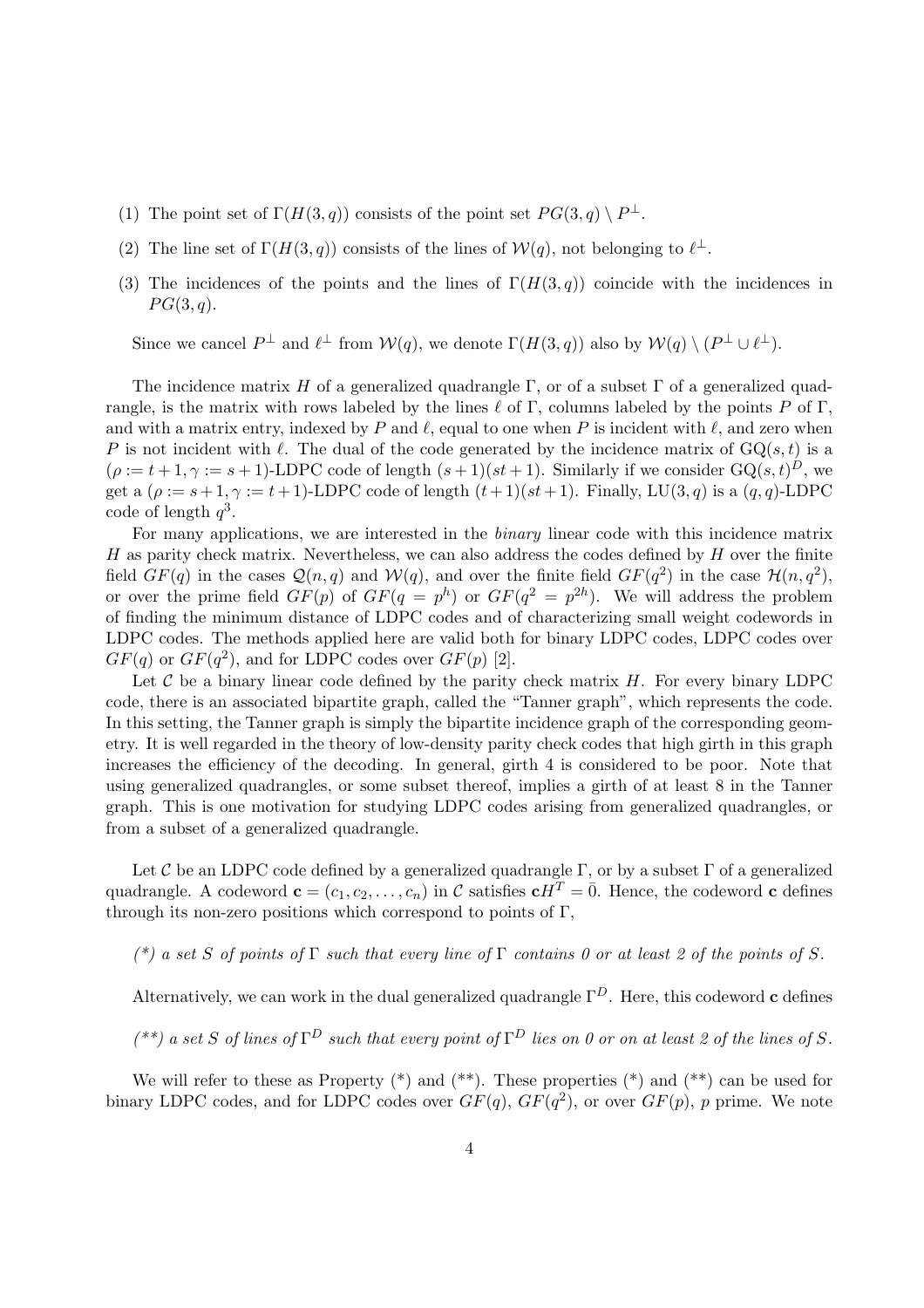- (1) The point set of  $\Gamma(H(3,q))$  consists of the point set  $PG(3,q) \setminus P^{\perp}$ .
- (2) The line set of  $\Gamma(H(3,q))$  consists of the lines of  $W(q)$ , not belonging to  $\ell^{\perp}$ .
- (3) The incidences of the points and the lines of  $\Gamma(H(3,q))$  coincide with the incidences in  $PG(3,q).$

Since we cancel  $P^{\perp}$  and  $\ell^{\perp}$  from  $\mathcal{W}(q)$ , we denote  $\Gamma(H(3,q))$  also by  $\mathcal{W}(q) \setminus (P^{\perp} \cup \ell^{\perp})$ .

The incidence matrix H of a generalized quadrangle  $\Gamma$ , or of a subset  $\Gamma$  of a generalized quadrangle, is the matrix with rows labeled by the lines  $\ell$  of Γ, columns labeled by the points P of Γ, and with a matrix entry, indexed by P and  $\ell$ , equal to one when P is incident with  $\ell$ , and zero when P is not incident with  $\ell$ . The dual of the code generated by the incidence matrix of  $GQ(s, t)$  is a  $(\rho := t + 1, \gamma := s + 1)$ -LDPC code of length  $(s + 1)(st + 1)$ . Similarly if we consider  $GQ(s, t)^{D}$ , we get a  $(\rho := s+1, \gamma := t+1)$ -LDPC code of length  $(t+1)(st+1)$ . Finally, LU(3, q) is a  $(q, q)$ -LDPC code of length  $q^3$ .

For many applications, we are interested in the binary linear code with this incidence matrix  $H$  as parity check matrix. Nevertheless, we can also address the codes defined by  $H$  over the finite field  $GF(q)$  in the cases  $\mathcal{Q}(n,q)$  and  $\mathcal{W}(q)$ , and over the finite field  $GF(q^2)$  in the case  $\mathcal{H}(n,q^2)$ , or over the prime field  $GF(p)$  of  $GF(q = p^h)$  or  $GF(q^2 = p^{2h})$ . We will address the problem of finding the minimum distance of LDPC codes and of characterizing small weight codewords in LDPC codes. The methods applied here are valid both for binary LDPC codes, LDPC codes over  $GF(q)$  or  $GF(q^2)$ , and for LDPC codes over  $GF(p)$  [2].

Let  $\mathcal C$  be a binary linear code defined by the parity check matrix  $H$ . For every binary LDPC code, there is an associated bipartite graph, called the "Tanner graph", which represents the code. In this setting, the Tanner graph is simply the bipartite incidence graph of the corresponding geometry. It is well regarded in the theory of low-density parity check codes that high girth in this graph increases the efficiency of the decoding. In general, girth 4 is considered to be poor. Note that using generalized quadrangles, or some subset thereof, implies a girth of at least 8 in the Tanner graph. This is one motivation for studying LDPC codes arising from generalized quadrangles, or from a subset of a generalized quadrangle.

Let C be an LDPC code defined by a generalized quadrangle  $\Gamma$ , or by a subset  $\Gamma$  of a generalized quadrangle. A codeword  $\mathbf{c} = (c_1, c_2, \dots, c_n)$  in C satisfies  $\mathbf{c}H^T = \overline{0}$ . Hence, the codeword c defines through its non-zero positions which correspond to points of  $\Gamma$ ,

(\*) a set S of points of  $\Gamma$  such that every line of  $\Gamma$  contains 0 or at least 2 of the points of S.

Alternatively, we can work in the dual generalized quadrangle  $\Gamma^D$ . Here, this codeword **c** defines

 $(*^*)$  a set S of lines of  $\Gamma^D$  such that every point of  $\Gamma^D$  lies on 0 or on at least 2 of the lines of S.

We will refer to these as Property  $(*)$  and  $(**)$ . These properties  $(*)$  and  $(**)$  can be used for binary LDPC codes, and for LDPC codes over  $GF(q)$ ,  $GF(q^2)$ , or over  $GF(p)$ , p prime. We note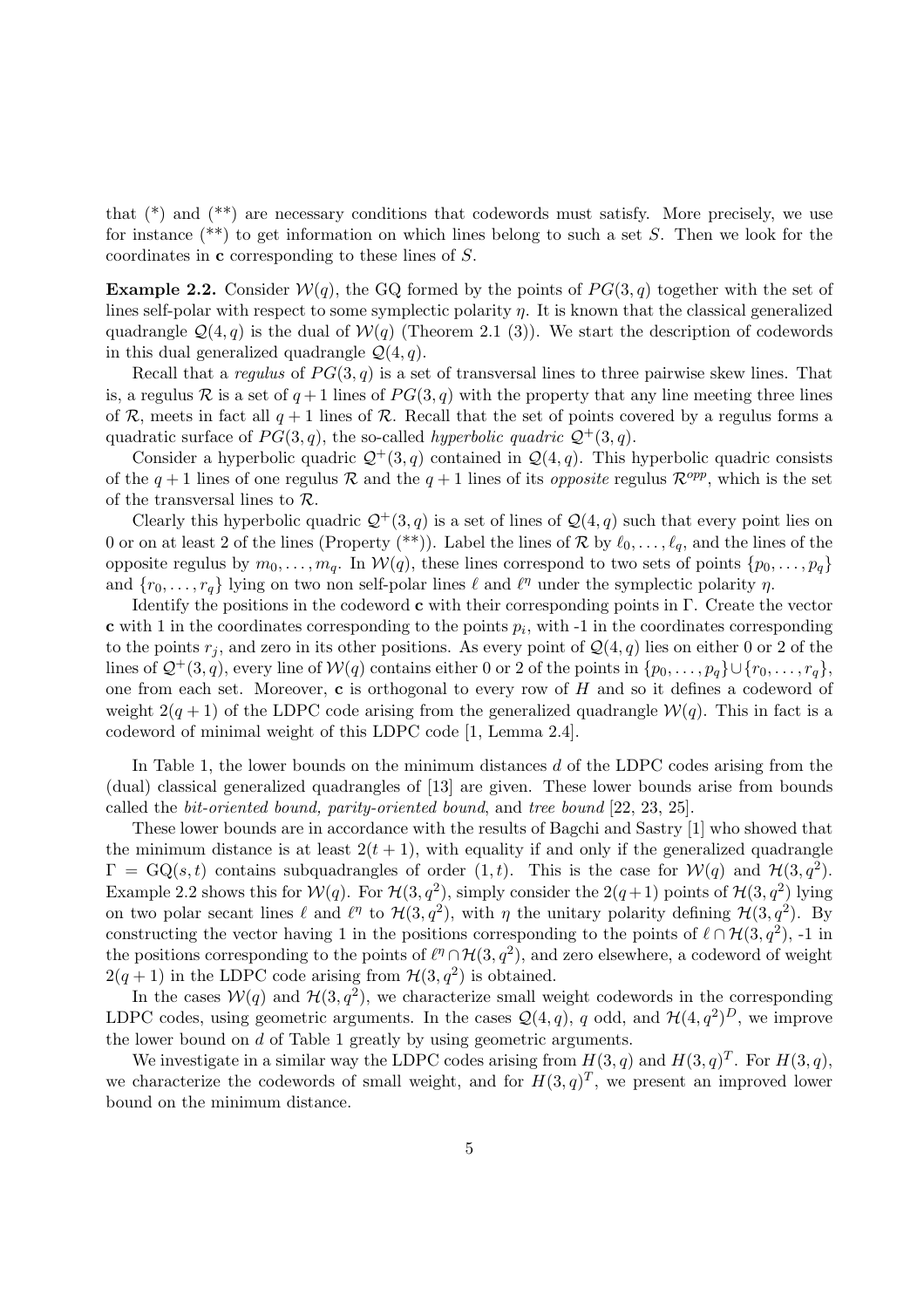that  $(*)$  and  $(*)$  are necessary conditions that codewords must satisfy. More precisely, we use for instance  $(**)$  to get information on which lines belong to such a set S. Then we look for the coordinates in c corresponding to these lines of S.

**Example 2.2.** Consider  $W(q)$ , the GQ formed by the points of  $PG(3, q)$  together with the set of lines self-polar with respect to some symplectic polarity  $\eta$ . It is known that the classical generalized quadrangle  $\mathcal{Q}(4,q)$  is the dual of  $\mathcal{W}(q)$  (Theorem 2.1 (3)). We start the description of codewords in this dual generalized quadrangle  $\mathcal{Q}(4, q)$ .

Recall that a regulus of  $PG(3,q)$  is a set of transversal lines to three pairwise skew lines. That is, a regulus R is a set of  $q+1$  lines of  $PG(3, q)$  with the property that any line meeting three lines of R, meets in fact all  $q + 1$  lines of R. Recall that the set of points covered by a regulus forms a quadratic surface of  $PG(3, q)$ , the so-called *hyperbolic quadric*  $\mathcal{Q}^+(3, q)$ .

Consider a hyperbolic quadric  $\mathcal{Q}^+(3,q)$  contained in  $\mathcal{Q}(4,q)$ . This hyperbolic quadric consists of the  $q+1$  lines of one regulus R and the  $q+1$  lines of its *opposite* regulus  $\mathcal{R}^{opp}$ , which is the set of the transversal lines to  $\mathcal{R}$ .

Clearly this hyperbolic quadric  $\mathcal{Q}^+(3, q)$  is a set of lines of  $\mathcal{Q}(4, q)$  such that every point lies on 0 or on at least 2 of the lines (Property (\*\*)). Label the lines of R by  $\ell_0, \ldots, \ell_q$ , and the lines of the opposite regulus by  $m_0, \ldots, m_q$ . In  $W(q)$ , these lines correspond to two sets of points  $\{p_0, \ldots, p_q\}$ and  $\{r_0, \ldots, r_q\}$  lying on two non self-polar lines  $\ell$  and  $\ell^{\eta}$  under the symplectic polarity  $\eta$ .

Identify the positions in the codeword  $\bf{c}$  with their corresponding points in Γ. Create the vector **c** with 1 in the coordinates corresponding to the points  $p_i$ , with  $-1$  in the coordinates corresponding to the points  $r_j$ , and zero in its other positions. As every point of  $\mathcal{Q}(4,q)$  lies on either 0 or 2 of the lines of  $\mathcal{Q}^+(3, q)$ , every line of  $\mathcal{W}(q)$  contains either 0 or 2 of the points in  $\{p_0, \ldots, p_q\} \cup \{r_0, \ldots, r_q\}$ , one from each set. Moreover,  $c$  is orthogonal to every row of  $H$  and so it defines a codeword of weight  $2(q + 1)$  of the LDPC code arising from the generalized quadrangle  $W(q)$ . This in fact is a codeword of minimal weight of this LDPC code [1, Lemma 2.4].

In Table 1, the lower bounds on the minimum distances  $d$  of the LDPC codes arising from the (dual) classical generalized quadrangles of [13] are given. These lower bounds arise from bounds called the bit-oriented bound, parity-oriented bound, and tree bound [22, 23, 25].

These lower bounds are in accordance with the results of Bagchi and Sastry [1] who showed that the minimum distance is at least  $2(t + 1)$ , with equality if and only if the generalized quadrangle  $\Gamma = GQ(s,t)$  contains subquadrangles of order  $(1,t)$ . This is the case for  $W(q)$  and  $\mathcal{H}(3,q^2)$ . Example 2.2 shows this for  $W(q)$ . For  $\mathcal{H}(3,q^2)$ , simply consider the  $2(q+1)$  points of  $\mathcal{H}(3,q^2)$  lying on two polar secant lines  $\ell$  and  $\ell^{\eta}$  to  $\mathcal{H}(3, q^2)$ , with  $\eta$  the unitary polarity defining  $\mathcal{H}(3, q^2)$ . By constructing the vector having 1 in the positions corresponding to the points of  $\ell \cap H(3, q^2)$ , -1 in the positions corresponding to the points of  $\ell^{\eta} \cap \mathcal{H}(3, q^2)$ , and zero elsewhere, a codeword of weight  $2(q+1)$  in the LDPC code arising from  $\mathcal{H}(3,q^2)$  is obtained.

In the cases  $W(q)$  and  $\mathcal{H}(3, q^2)$ , we characterize small weight codewords in the corresponding LDPC codes, using geometric arguments. In the cases  $\mathcal{Q}(4,q)$ , q odd, and  $\mathcal{H}(4,q^2)^D$ , we improve the lower bound on d of Table 1 greatly by using geometric arguments.

We investigate in a similar way the LDPC codes arising from  $H(3, q)$  and  $H(3, q)^T$ . For  $H(3, q)$ , we characterize the codewords of small weight, and for  $H(3, q)^T$ , we present an improved lower bound on the minimum distance.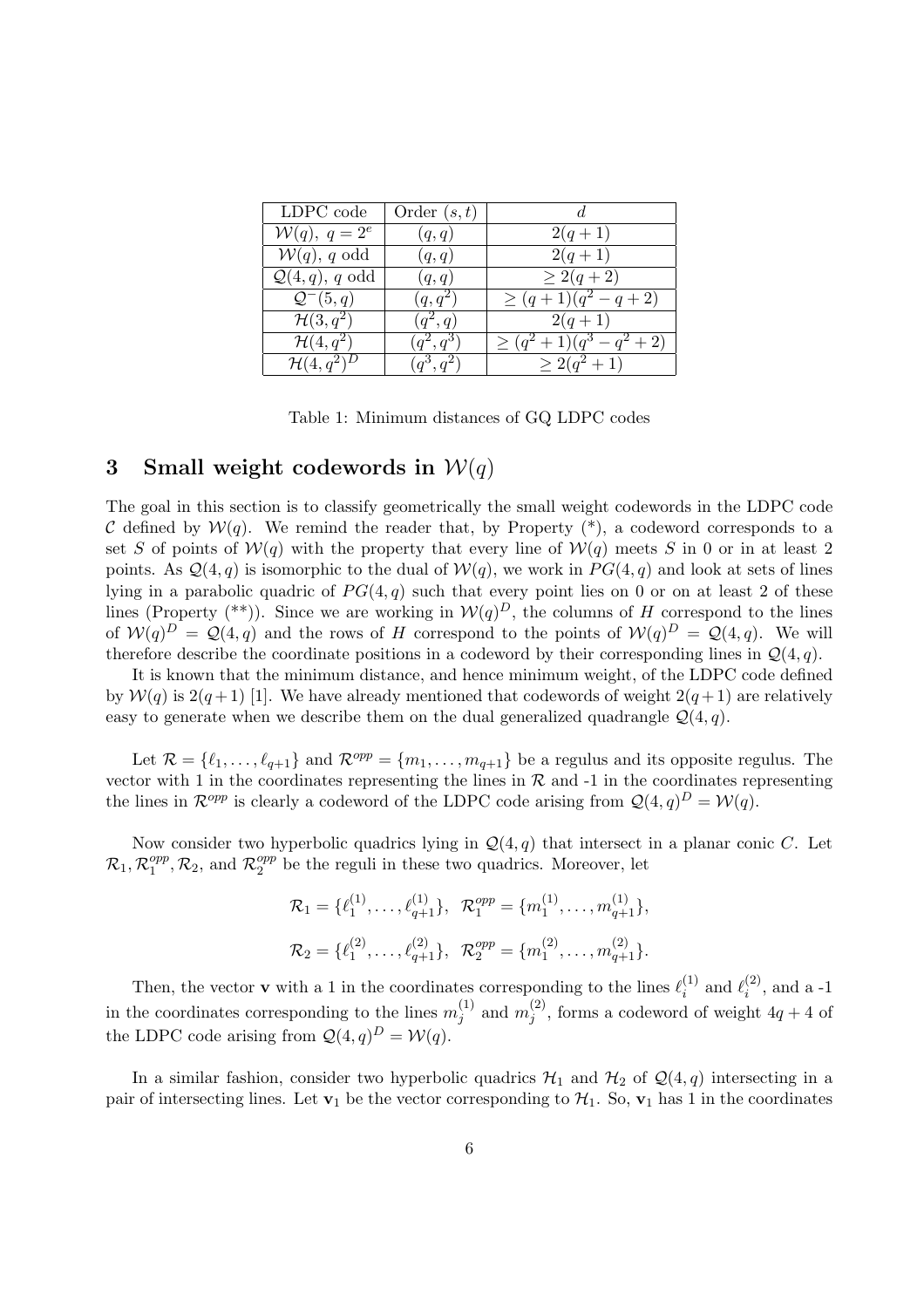| LDPC code                  | Order $(s,t)$          |                           |
|----------------------------|------------------------|---------------------------|
| $W(q)$ , $q = 2^e$         | (q,q)                  | $2(q+1)$                  |
| $W(q)$ , q odd             | (q,q)                  | $2(q+1)$                  |
| $\mathcal{Q}(4,q)$ , q odd | (q,q)                  | $\geq 2(q+2)$             |
| $\mathcal{Q}^-(5,q)$       | $(q, q^2)$             | $\geq (q+1)(q^2-q+2)$     |
| $\mathcal{H}(3,q^2)$       | $(q^2,q)$              | $2(q+1)$                  |
| $\mathcal{H}(4,q^2)$       | $(q^2,q^3)$            | $\geq (q^2+1)(q^3-q^2+2)$ |
| $\mathcal{H}(4,q^2)^D$     | $\overline{(q^3,q^2)}$ | $\geq 2(q^2+1)$           |

Table 1: Minimum distances of GQ LDPC codes

### 3 Small weight codewords in  $W(q)$

The goal in this section is to classify geometrically the small weight codewords in the LDPC code C defined by  $W(q)$ . We remind the reader that, by Property  $(*)$ , a codeword corresponds to a set S of points of  $W(q)$  with the property that every line of  $W(q)$  meets S in 0 or in at least 2 points. As  $\mathcal{Q}(4,q)$  is isomorphic to the dual of  $\mathcal{W}(q)$ , we work in  $PG(4,q)$  and look at sets of lines lying in a parabolic quadric of  $PG(4, q)$  such that every point lies on 0 or on at least 2 of these lines (Property  $(**)$ ). Since we are working in  $W(q)^D$ , the columns of H correspond to the lines of  $W(q)^D = Q(4,q)$  and the rows of H correspond to the points of  $W(q)^D = Q(4,q)$ . We will therefore describe the coordinate positions in a codeword by their corresponding lines in  $\mathcal{Q}(4, q)$ .

It is known that the minimum distance, and hence minimum weight, of the LDPC code defined by  $W(q)$  is  $2(q+1)$  [1]. We have already mentioned that codewords of weight  $2(q+1)$  are relatively easy to generate when we describe them on the dual generalized quadrangle  $\mathcal{Q}(4, q)$ .

Let  $\mathcal{R} = \{\ell_1, \ldots, \ell_{q+1}\}\$  and  $\mathcal{R}^{opp} = \{m_1, \ldots, m_{q+1}\}\$  be a regulus and its opposite regulus. The vector with 1 in the coordinates representing the lines in  $R$  and  $-1$  in the coordinates representing the lines in  $\mathcal{R}^{opp}$  is clearly a codeword of the LDPC code arising from  $\mathcal{Q}(4,q)^D = \mathcal{W}(q)$ .

Now consider two hyperbolic quadrics lying in  $\mathcal{Q}(4, q)$  that intersect in a planar conic C. Let  $\mathcal{R}_1, \mathcal{R}_1^{opp}$  $1^{opp}, \mathcal{R}_2$ , and  $\mathcal{R}_2^{opp}$  $_{2}^{opp}$  be the reguli in these two quadrics. Moreover, let

$$
\mathcal{R}_1 = \{ \ell_1^{(1)}, \dots, \ell_{q+1}^{(1)} \}, \quad \mathcal{R}_1^{opp} = \{ m_1^{(1)}, \dots, m_{q+1}^{(1)} \},
$$
  

$$
\mathcal{R}_2 = \{ \ell_1^{(2)}, \dots, \ell_{q+1}^{(2)} \}, \quad \mathcal{R}_2^{opp} = \{ m_1^{(2)}, \dots, m_{q+1}^{(2)} \}.
$$

Then, the vector **v** with a 1 in the coordinates corresponding to the lines  $\ell_i^{(1)}$  $\stackrel{(1)}{i}$  and  $\ell_i^{(2)}$  $i^{(2)}$ , and a -1 in the coordinates corresponding to the lines  $m_i^{(1)}$  $j^{(1)}$  and  $m_j^{(2)}$  $j^{(2)}$ , forms a codeword of weight  $4q + 4$  of the LDPC code arising from  $\mathcal{Q}(4,q)^D = \mathcal{W}(q)$ .

In a similar fashion, consider two hyperbolic quadrics  $\mathcal{H}_1$  and  $\mathcal{H}_2$  of  $\mathcal{Q}(4,q)$  intersecting in a pair of intersecting lines. Let  $v_1$  be the vector corresponding to  $\mathcal{H}_1$ . So,  $v_1$  has 1 in the coordinates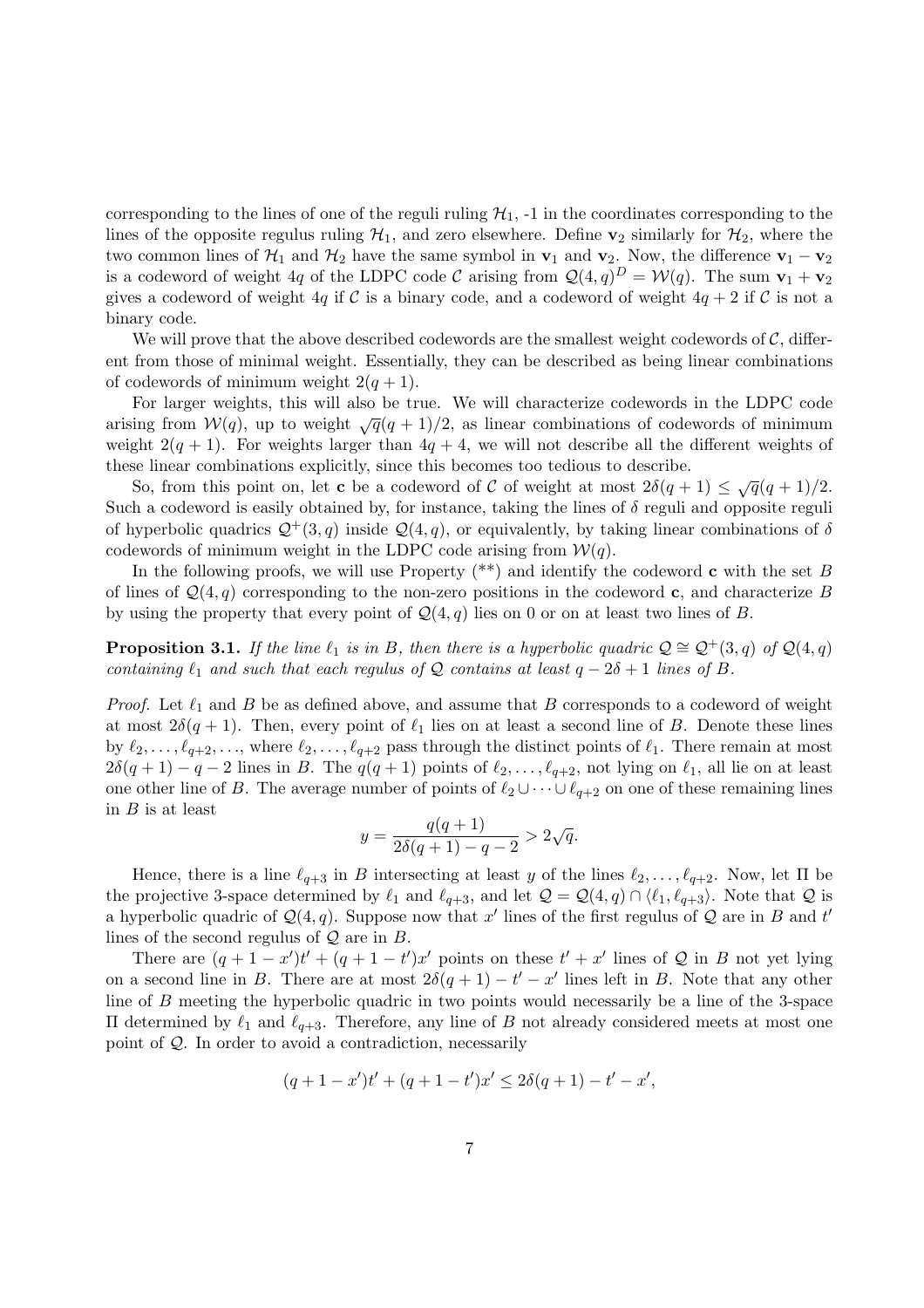corresponding to the lines of one of the reguli ruling  $\mathcal{H}_1$ , -1 in the coordinates corresponding to the lines of the opposite regulus ruling  $\mathcal{H}_1$ , and zero elsewhere. Define  $\mathbf{v}_2$  similarly for  $\mathcal{H}_2$ , where the two common lines of  $\mathcal{H}_1$  and  $\mathcal{H}_2$  have the same symbol in  $\mathbf{v}_1$  and  $\mathbf{v}_2$ . Now, the difference  $\mathbf{v}_1 - \mathbf{v}_2$ is a codeword of weight 4q of the LDPC code C arising from  $\mathcal{Q}(4,q)^D = \mathcal{W}(q)$ . The sum  $\mathbf{v}_1 + \mathbf{v}_2$ gives a codeword of weight 4q if C is a binary code, and a codeword of weight  $4q + 2$  if C is not a binary code.

We will prove that the above described codewords are the smallest weight codewords of  $\mathcal{C}$ , different from those of minimal weight. Essentially, they can be described as being linear combinations of codewords of minimum weight  $2(q + 1)$ .

For larger weights, this will also be true. We will characterize codewords in the LDPC code arising from  $W(q)$ , up to weight  $\sqrt{q}(q + 1)/2$ , as linear combinations of codewords of minimum weight  $2(q + 1)$ . For weights larger than  $4q + 4$ , we will not describe all the different weights of these linear combinations explicitly, since this becomes too tedious to describe.

So, from this point on, let **c** be a codeword of C of weight at most  $2\delta(q+1) \leq \sqrt{q}(q+1)/2$ . Such a codeword is easily obtained by, for instance, taking the lines of  $\delta$  reguli and opposite reguli of hyperbolic quadrics  $\mathcal{Q}^+(3, q)$  inside  $\mathcal{Q}(4, q)$ , or equivalently, by taking linear combinations of  $\delta$ codewords of minimum weight in the LDPC code arising from  $W(q)$ .

In the following proofs, we will use Property  $(**)$  and identify the codeword **c** with the set B of lines of  $\mathcal{Q}(4, q)$  corresponding to the non-zero positions in the codeword c, and characterize B by using the property that every point of  $\mathcal{Q}(4, q)$  lies on 0 or on at least two lines of B.

**Proposition 3.1.** If the line  $\ell_1$  is in B, then there is a hyperbolic quadric  $Q \cong Q^+(3, q)$  of  $Q(4, q)$ containing  $\ell_1$  and such that each regulus of Q contains at least  $q - 2\delta + 1$  lines of B.

*Proof.* Let  $\ell_1$  and B be as defined above, and assume that B corresponds to a codeword of weight at most  $2\delta(q + 1)$ . Then, every point of  $\ell_1$  lies on at least a second line of B. Denote these lines by  $\ell_2, \ldots, \ell_{q+2}, \ldots$ , where  $\ell_2, \ldots, \ell_{q+2}$  pass through the distinct points of  $\ell_1$ . There remain at most  $2\delta(q + 1) - q - 2$  lines in B. The  $q(q + 1)$  points of  $\ell_2, \ldots, \ell_{q+2}$ , not lying on  $\ell_1$ , all lie on at least one other line of B. The average number of points of  $\ell_2 \cup \cdots \cup \ell_{q+2}$  on one of these remaining lines in  $B$  is at least

$$
y = \frac{q(q+1)}{2\delta(q+1) - q - 2} > 2\sqrt{q}.
$$

Hence, there is a line  $\ell_{q+3}$  in B intersecting at least y of the lines  $\ell_2, \ldots, \ell_{q+2}$ . Now, let  $\Pi$  be the projective 3-space determined by  $\ell_1$  and  $\ell_{q+3}$ , and let  $\mathcal{Q} = \mathcal{Q}(4, q) \cap \langle \ell_1, \ell_{q+3} \rangle$ . Note that  $\mathcal Q$  is a hyperbolic quadric of  $\mathcal{Q}(4,q)$ . Suppose now that x' lines of the first regulus of Q are in B and t' lines of the second regulus of  $\mathcal Q$  are in  $B$ .

There are  $(q + 1 - x')t' + (q + 1 - t')x'$  points on these  $t' + x'$  lines of Q in B not yet lying on a second line in B. There are at most  $2\delta(q+1) - t' - x'$  lines left in B. Note that any other line of B meeting the hyperbolic quadric in two points would necessarily be a line of the 3-space Π determined by  $\ell_1$  and  $\ell_{q+3}$ . Therefore, any line of B not already considered meets at most one point of Q. In order to avoid a contradiction, necessarily

$$
(q+1-x')t' + (q+1-t')x' \le 2\delta(q+1) - t' - x',
$$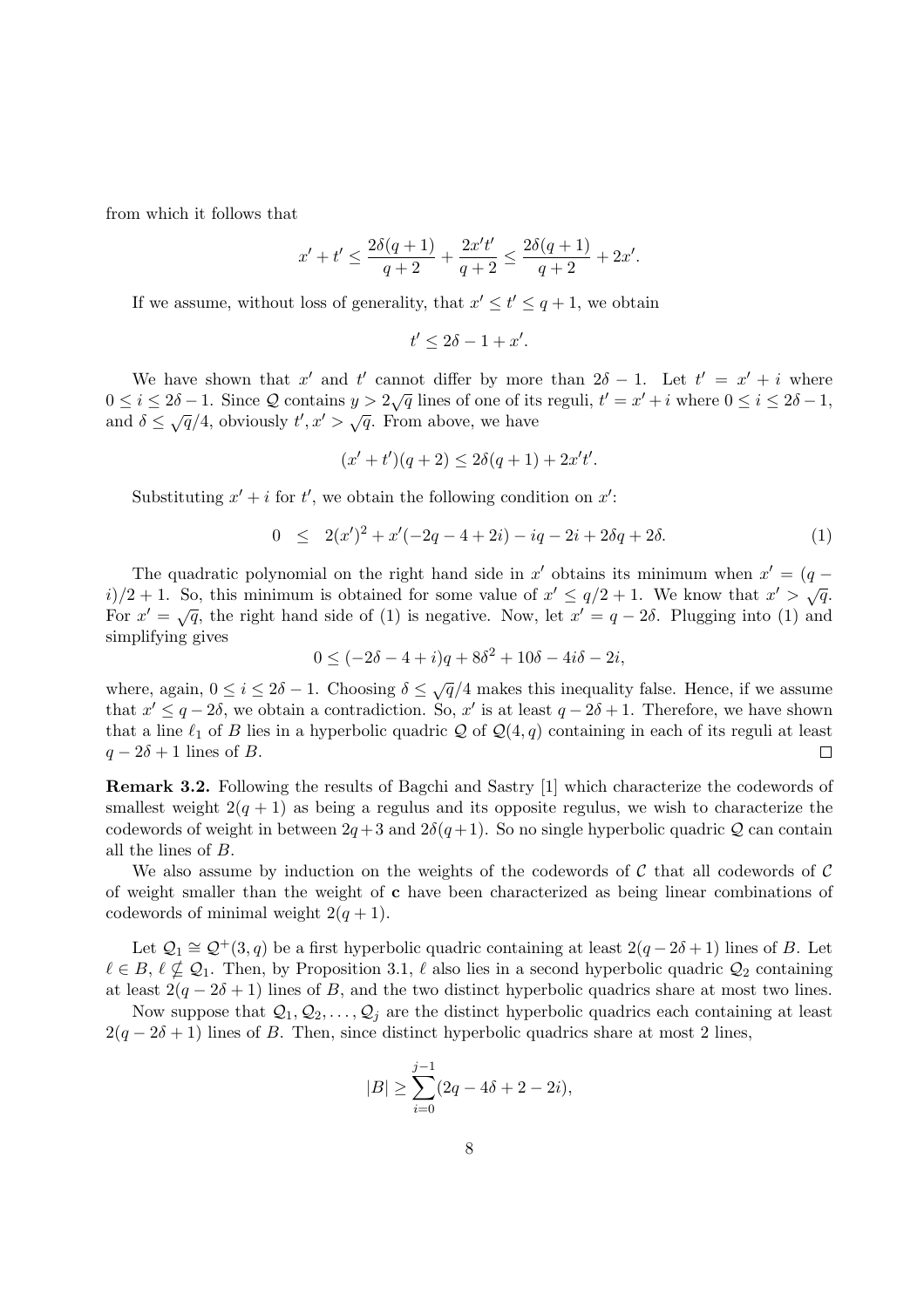from which it follows that

$$
x' + t' \le \frac{2\delta(q+1)}{q+2} + \frac{2x't'}{q+2} \le \frac{2\delta(q+1)}{q+2} + 2x'.
$$

If we assume, without loss of generality, that  $x' \leq t' \leq q+1$ , we obtain

$$
t'\leq 2\delta-1+x'.
$$

We have shown that x' and t' cannot differ by more than  $2\delta - 1$ . Let  $t' = x' + i$  where We have shown that x and t cannot differ by more than 20 1. Let  $t = x + i$  where  $0 \le i \le 2\delta - 1$ ,  $0 \le i \le 2\delta - 1$ ,  $\delta \leq \sqrt{q}/4$ , obviously  $t', x' > \sqrt{q}$ . From above, we have

$$
(x' + t')(q + 2) \le 2\delta(q + 1) + 2x't'.
$$

Substituting  $x' + i$  for  $t'$ , we obtain the following condition on  $x'$ :

$$
0 \le 2(x')^2 + x'(-2q - 4 + 2i) - iq - 2i + 2\delta q + 2\delta. \tag{1}
$$

The quadratic polynomial on the right hand side in  $x'$  obtains its minimum when  $x' = (q$ i)/2 + 1. So, this minimum is obtained for some value of  $x' \le q/2 + 1$ . We know that  $x' > \sqrt{q}$ . For  $x' = \sqrt{q}$ , the right hand side of (1) is negative. Now, let  $x' = q - 2\delta$ . Plugging into (1) and simplifying gives

$$
0 \le (-2\delta - 4 + i)q + 8\delta^2 + 10\delta - 4i\delta - 2i,
$$

where, again,  $0 \le i \le 2\delta - 1$ . Choosing  $\delta \le \sqrt{q}/4$  makes this inequality false. Hence, if we assume that  $x' \leq q-2\delta$ , we obtain a contradiction. So, x' is at least  $q-2\delta+1$ . Therefore, we have shown that a line  $\ell_1$  of B lies in a hyperbolic quadric Q of  $\mathcal{Q}(4, q)$  containing in each of its reguli at least  $q - 2\delta + 1$  lines of B.  $\Box$ 

Remark 3.2. Following the results of Bagchi and Sastry [1] which characterize the codewords of smallest weight  $2(q + 1)$  as being a regulus and its opposite regulus, we wish to characterize the codewords of weight in between  $2q+3$  and  $2\delta(q+1)$ . So no single hyperbolic quadric Q can contain all the lines of B.

We also assume by induction on the weights of the codewords of C that all codewords of C of weight smaller than the weight of  $c$  have been characterized as being linear combinations of codewords of minimal weight  $2(q + 1)$ .

Let  $\mathcal{Q}_1 \cong \mathcal{Q}^+(3,q)$  be a first hyperbolic quadric containing at least  $2(q-2\delta+1)$  lines of B. Let  $\ell \in B, \ell \nsubseteq \mathcal{Q}_1$ . Then, by Proposition 3.1,  $\ell$  also lies in a second hyperbolic quadric  $\mathcal{Q}_2$  containing at least  $2(q - 2\delta + 1)$  lines of B, and the two distinct hyperbolic quadrics share at most two lines.

Now suppose that  $Q_1, Q_2, \ldots, Q_j$  are the distinct hyperbolic quadrics each containing at least  $2(q - 2\delta + 1)$  lines of B. Then, since distinct hyperbolic quadrics share at most 2 lines,

$$
|B| \ge \sum_{i=0}^{j-1} (2q - 4\delta + 2 - 2i),
$$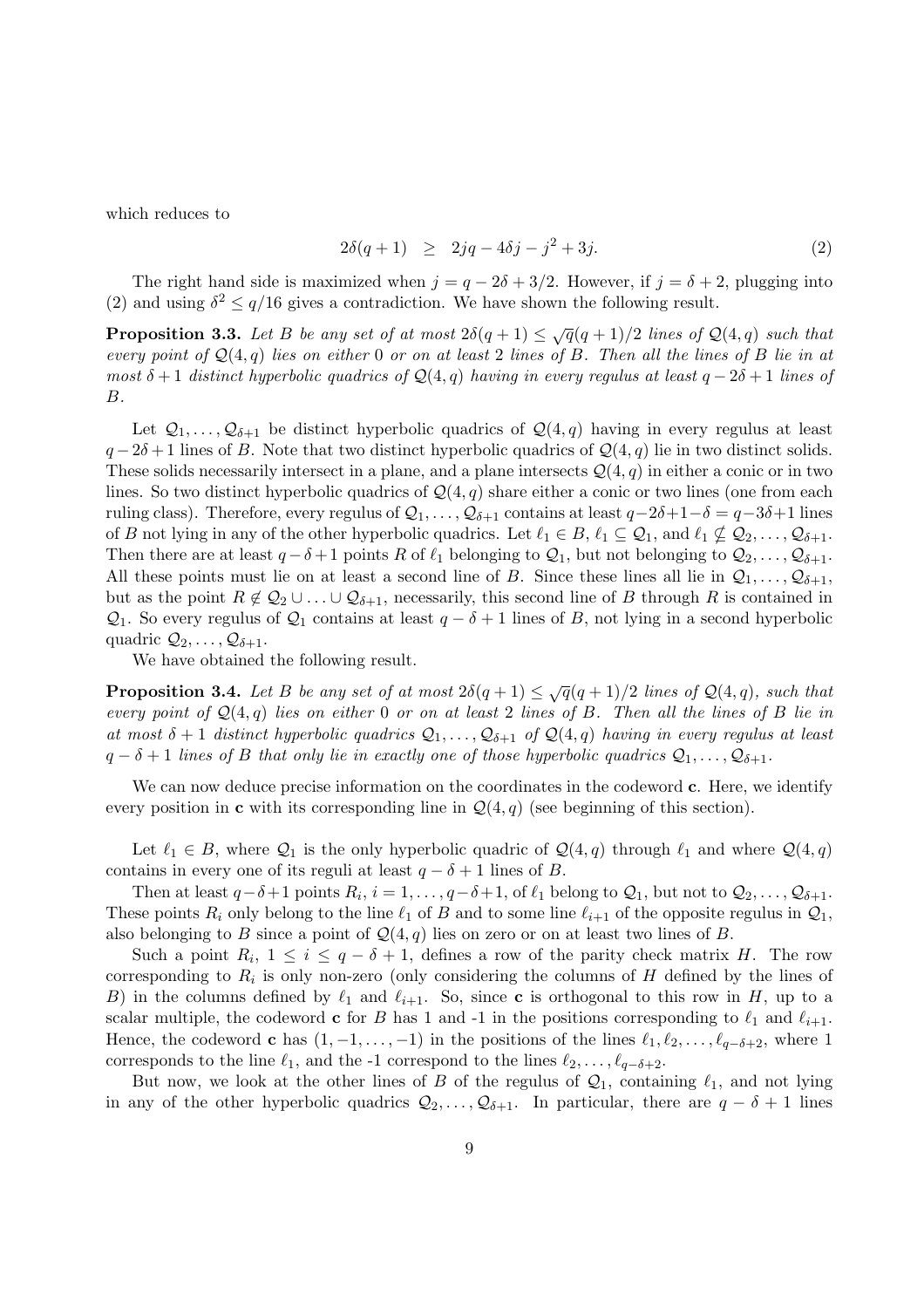which reduces to

$$
2\delta(q+1) \ge 2jq - 4\delta j - j^2 + 3j. \tag{2}
$$

The right hand side is maximized when  $j = q - 2\delta + 3/2$ . However, if  $j = \delta + 2$ , plugging into (2) and using  $\delta^2 \leq q/16$  gives a contradiction. We have shown the following result.

**Proposition 3.3.** Let B be any set of at most  $2\delta(q+1) \leq \sqrt{q}(q+1)/2$  lines of  $\mathcal{Q}(4,q)$  such that every point of  $\mathcal{Q}(4,q)$  lies on either 0 or on at least 2 lines of B. Then all the lines of B lie in at most  $\delta + 1$  distinct hyperbolic quadrics of  $\mathcal{Q}(4,q)$  having in every regulus at least  $q - 2\delta + 1$  lines of B.

Let  $Q_1, \ldots, Q_{\delta+1}$  be distinct hyperbolic quadrics of  $Q(4,q)$  having in every regulus at least  $q-2\delta+1$  lines of B. Note that two distinct hyperbolic quadrics of  $\mathcal{Q}(4,q)$  lie in two distinct solids. These solids necessarily intersect in a plane, and a plane intersects  $\mathcal{Q}(4,q)$  in either a conic or in two lines. So two distinct hyperbolic quadrics of  $\mathcal{Q}(4, q)$  share either a conic or two lines (one from each ruling class). Therefore, every regulus of  $\mathcal{Q}_1, \ldots, \mathcal{Q}_{\delta+1}$  contains at least  $q-2\delta+1-\delta=q-3\delta+1$  lines of B not lying in any of the other hyperbolic quadrics. Let  $\ell_1 \in B$ ,  $\ell_1 \subseteq Q_1$ , and  $\ell_1 \nsubseteq Q_2, \ldots, Q_{\delta+1}$ . Then there are at least  $q - \delta + 1$  points R of  $\ell_1$  belonging to  $\mathcal{Q}_1$ , but not belonging to  $\mathcal{Q}_2, \ldots, \mathcal{Q}_{\delta+1}$ . All these points must lie on at least a second line of B. Since these lines all lie in  $Q_1, \ldots, Q_{\delta+1}$ , but as the point  $R \notin Q_2 \cup \ldots \cup Q_{\delta+1}$ , necessarily, this second line of B through R is contained in  $\mathcal{Q}_1$ . So every regulus of  $\mathcal{Q}_1$  contains at least  $q - \delta + 1$  lines of B, not lying in a second hyperbolic quadric  $\mathcal{Q}_2, \ldots, \mathcal{Q}_{\delta+1}$ .

We have obtained the following result.

**Proposition 3.4.** Let B be any set of at most  $2\delta(q+1) \leq \sqrt{q}(q+1)/2$  lines of  $\mathcal{Q}(4,q)$ , such that every point of  $\mathcal{Q}(4,q)$  lies on either 0 or on at least 2 lines of B. Then all the lines of B lie in at most  $\delta + 1$  distinct hyperbolic quadrics  $\mathcal{Q}_1, \ldots, \mathcal{Q}_{\delta+1}$  of  $\mathcal{Q}(4,q)$  having in every regulus at least  $q - \delta + 1$  lines of B that only lie in exactly one of those hyperbolic quadrics  $Q_1, \ldots, Q_{\delta+1}$ .

We can now deduce precise information on the coordinates in the codeword **c**. Here, we identify every position in c with its corresponding line in  $\mathcal{Q}(4, q)$  (see beginning of this section).

Let  $\ell_1 \in B$ , where  $\mathcal{Q}_1$  is the only hyperbolic quadric of  $\mathcal{Q}(4, q)$  through  $\ell_1$  and where  $\mathcal{Q}(4, q)$ contains in every one of its reguli at least  $q - \delta + 1$  lines of B.

Then at least  $q-\delta+1$  points  $R_i$ ,  $i=1,\ldots,q-\delta+1$ , of  $\ell_1$  belong to  $\mathcal{Q}_1$ , but not to  $\mathcal{Q}_2,\ldots,\mathcal{Q}_{\delta+1}$ . These points  $R_i$  only belong to the line  $\ell_1$  of B and to some line  $\ell_{i+1}$  of the opposite regulus in  $\mathcal{Q}_1$ , also belonging to B since a point of  $\mathcal{Q}(4,q)$  lies on zero or on at least two lines of B.

Such a point  $R_i$ ,  $1 \leq i \leq q - \delta + 1$ , defines a row of the parity check matrix H. The row corresponding to  $R_i$  is only non-zero (only considering the columns of  $H$  defined by the lines of B) in the columns defined by  $\ell_1$  and  $\ell_{i+1}$ . So, since c is orthogonal to this row in H, up to a scalar multiple, the codeword **c** for B has 1 and -1 in the positions corresponding to  $\ell_1$  and  $\ell_{i+1}$ . Hence, the codeword c has  $(1, -1, \ldots, -1)$  in the positions of the lines  $\ell_1, \ell_2, \ldots, \ell_{q-\delta+2}$ , where 1 corresponds to the line  $\ell_1$ , and the -1 correspond to the lines  $\ell_2, \ldots, \ell_{q-\delta+2}$ .

But now, we look at the other lines of B of the regulus of  $\mathcal{Q}_1$ , containing  $\ell_1$ , and not lying in any of the other hyperbolic quadrics  $\mathcal{Q}_2, \ldots, \mathcal{Q}_{\delta+1}$ . In particular, there are  $q - \delta + 1$  lines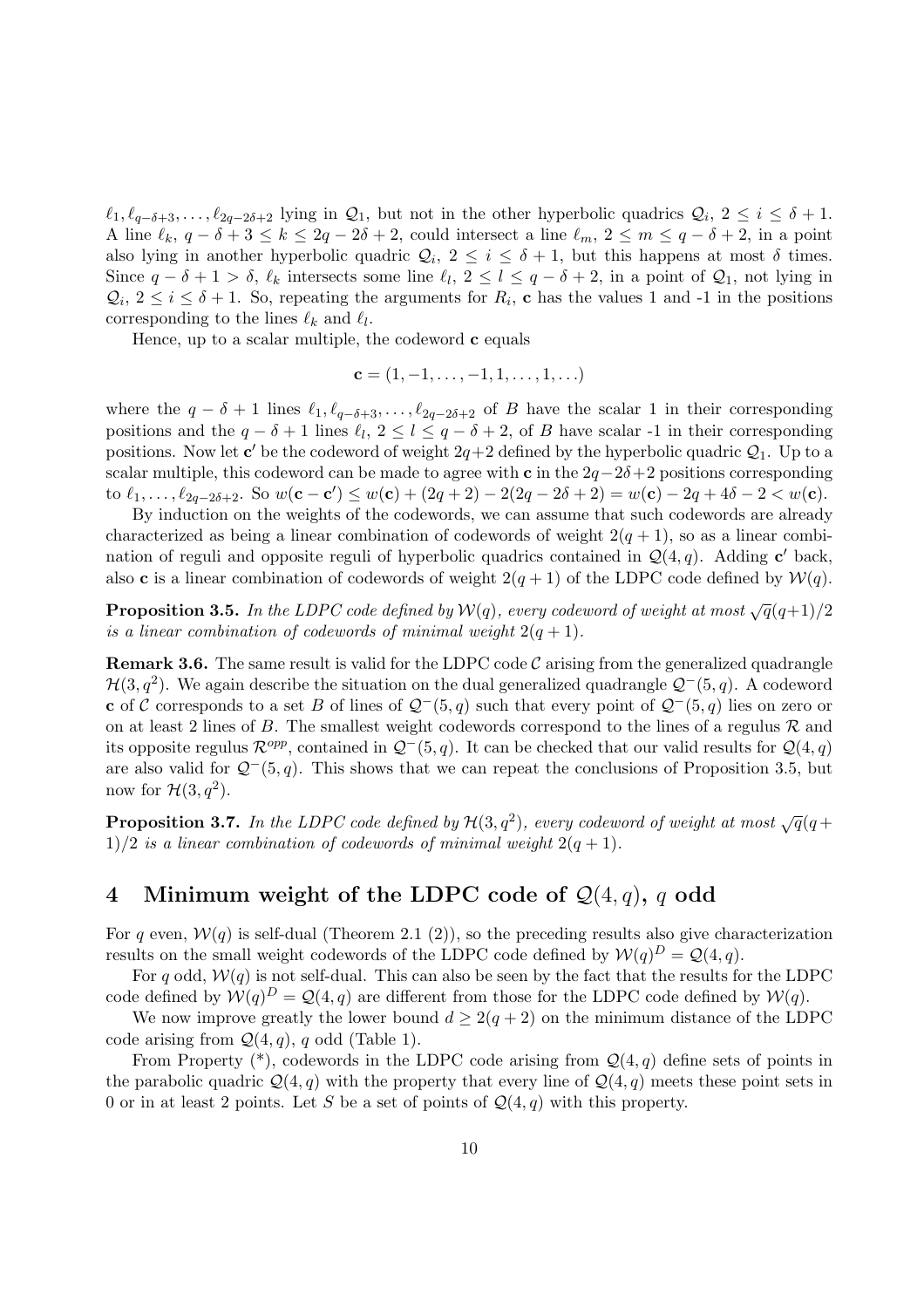$\ell_1, \ell_{q-\delta+3}, \ldots, \ell_{2q-2\delta+2}$  lying in  $\mathcal{Q}_1$ , but not in the other hyperbolic quadrics  $\mathcal{Q}_i, 2 \leq i \leq \delta+1$ . A line  $\ell_k$ ,  $q - \delta + 3 \leq k \leq 2q - 2\delta + 2$ , could intersect a line  $\ell_m$ ,  $2 \leq m \leq q - \delta + 2$ , in a point also lying in another hyperbolic quadric  $Q_i$ ,  $2 \leq i \leq \delta + 1$ , but this happens at most  $\delta$  times. Since  $q - \delta + 1 > \delta$ ,  $\ell_k$  intersects some line  $\ell_l$ ,  $2 \leq l \leq q - \delta + 2$ , in a point of  $\mathcal{Q}_1$ , not lying in  $\mathcal{Q}_i$ ,  $2 \leq i \leq \delta + 1$ . So, repeating the arguments for  $R_i$ , c has the values 1 and -1 in the positions corresponding to the lines  $\ell_k$  and  $\ell_l$ .

Hence, up to a scalar multiple, the codeword  $c$  equals

$$
\mathbf{c} = (1, -1, \dots, -1, 1, \dots, 1, \dots)
$$

where the  $q - \delta + 1$  lines  $\ell_1, \ell_{q-\delta+3}, \ldots, \ell_{2q-2\delta+2}$  of B have the scalar 1 in their corresponding positions and the  $q - \delta + 1$  lines  $\ell_l$ ,  $2 \leq l \leq q - \delta + 2$ , of B have scalar -1 in their corresponding positions. Now let  $c'$  be the codeword of weight  $2q+2$  defined by the hyperbolic quadric  $\mathcal{Q}_1$ . Up to a scalar multiple, this codeword can be made to agree with c in the  $2q-2\delta+2$  positions corresponding to  $\ell_1, \ldots, \ell_{2q-2\delta+2}$ . So  $w(\mathbf{c} - \mathbf{c}') \leq w(\mathbf{c}) + (2q+2) - 2(2q-2\delta+2) = w(\mathbf{c}) - 2q + 4\delta - 2 < w(\mathbf{c})$ .

By induction on the weights of the codewords, we can assume that such codewords are already characterized as being a linear combination of codewords of weight  $2(q + 1)$ , so as a linear combination of reguli and opposite reguli of hyperbolic quadrics contained in  $\mathcal{Q}(4,q)$ . Adding c' back, also **c** is a linear combination of codewords of weight  $2(q + 1)$  of the LDPC code defined by  $\mathcal{W}(q)$ .

**Proposition 3.5.** In the LDPC code defined by  $W(q)$ , every codeword of weight at most  $\sqrt{q}(q+1)/2$ is a linear combination of codewords of minimal weight  $2(q + 1)$ .

**Remark 3.6.** The same result is valid for the LDPC code  $\mathcal{C}$  arising from the generalized quadrangle  $\mathcal{H}(3,q^2)$ . We again describe the situation on the dual generalized quadrangle  $\mathcal{Q}^-(5,q)$ . A codeword c of C corresponds to a set B of lines of  $\mathcal{Q}^-(5, q)$  such that every point of  $\mathcal{Q}^-(5, q)$  lies on zero or on at least 2 lines of B. The smallest weight codewords correspond to the lines of a regulus  $\mathcal R$  and its opposite regulus  $\mathcal{R}^{opp}$ , contained in  $\mathcal{Q}^-(5, q)$ . It can be checked that our valid results for  $\mathcal{Q}(4, q)$ are also valid for  $\mathcal{Q}^-(5, q)$ . This shows that we can repeat the conclusions of Proposition 3.5, but now for  $\mathcal{H}(3,q^2)$ .

**Proposition 3.7.** In the LDPC code defined by  $\mathcal{H}(3,q^2)$ , every codeword of weight at most  $\sqrt{q}(q+1)$  $1)/2$  is a linear combination of codewords of minimal weight  $2(q + 1)$ .

### 4 Minimum weight of the LDPC code of  $Q(4,q)$ , q odd

For q even,  $W(q)$  is self-dual (Theorem 2.1 (2)), so the preceding results also give characterization results on the small weight codewords of the LDPC code defined by  $W(q)^D = Q(4, q)$ .

For q odd,  $W(q)$  is not self-dual. This can also be seen by the fact that the results for the LDPC code defined by  $W(q)^D = Q(4, q)$  are different from those for the LDPC code defined by  $W(q)$ .

We now improve greatly the lower bound  $d \geq 2(q+2)$  on the minimum distance of the LDPC code arising from  $\mathcal{Q}(4,q)$ , q odd (Table 1).

From Property  $(*)$ , codewords in the LDPC code arising from  $\mathcal{Q}(4,q)$  define sets of points in the parabolic quadric  $\mathcal{Q}(4, q)$  with the property that every line of  $\mathcal{Q}(4, q)$  meets these point sets in 0 or in at least 2 points. Let S be a set of points of  $\mathcal{Q}(4,q)$  with this property.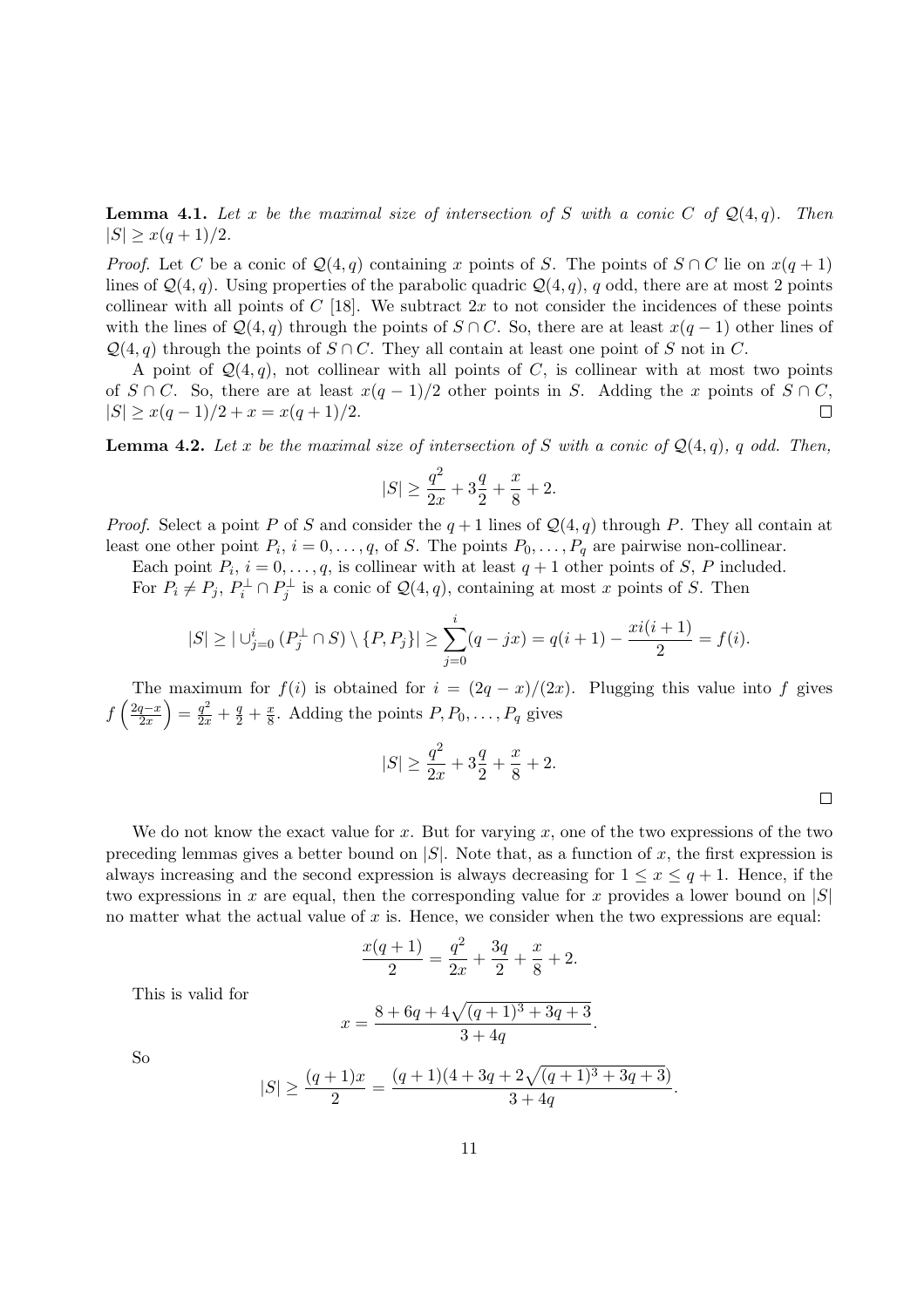**Lemma 4.1.** Let x be the maximal size of intersection of S with a conic C of  $\mathcal{Q}(4,q)$ . Then  $|S| \geq x(q+1)/2$ .

*Proof.* Let C be a conic of  $\mathcal{Q}(4,q)$  containing x points of S. The points of  $S \cap C$  lie on  $x(q+1)$ lines of  $\mathcal{Q}(4,q)$ . Using properties of the parabolic quadric  $\mathcal{Q}(4,q)$ , q odd, there are at most 2 points collinear with all points of  $C$  [18]. We subtract  $2x$  to not consider the incidences of these points with the lines of  $\mathcal{Q}(4,q)$  through the points of  $S \cap C$ . So, there are at least  $x(q-1)$  other lines of  $\mathcal{Q}(4, q)$  through the points of  $S \cap C$ . They all contain at least one point of S not in C.

A point of  $\mathcal{Q}(4, q)$ , not collinear with all points of C, is collinear with at most two points of  $S \cap C$ . So, there are at least  $x(q-1)/2$  other points in S. Adding the x points of  $S \cap C$ ,  $|S| \geq x(q-1)/2 + x = x(q+1)/2.$  $\Box$ 

**Lemma 4.2.** Let x be the maximal size of intersection of S with a conic of  $Q(4, q)$ , q odd. Then,

$$
|S| \ge \frac{q^2}{2x} + 3\frac{q}{2} + \frac{x}{8} + 2.
$$

*Proof.* Select a point P of S and consider the  $q + 1$  lines of  $\mathcal{Q}(4, q)$  through P. They all contain at least one other point  $P_i$ ,  $i = 0, \ldots, q$ , of S. The points  $P_0, \ldots, P_q$  are pairwise non-collinear.

Each point  $P_i$ ,  $i = 0, \ldots, q$ , is collinear with at least  $q + 1$  other points of S, P included. For  $P_i \neq P_j$ ,  $P_i^{\perp} \cap P_j^{\perp}$  is a conic of  $\mathcal{Q}(4,q)$ , containing at most x points of S. Then

$$
|S| \geq |\bigcup_{j=0}^{i} (P_j^{\perp} \cap S) \setminus \{P, P_j\}| \geq \sum_{j=0}^{i} (q - jx) = q(i+1) - \frac{xi(i+1)}{2} = f(i).
$$

The maximum for  $f(i)$  is obtained for  $i = (2q - x)/(2x)$ . Plugging this value into f gives f  $\frac{1}{2q-x}$  $\left(\frac{q-x}{2x}\right) = \frac{q^2}{2x} + \frac{q}{2} + \frac{x}{8}$  $\frac{x}{8}$ . Adding the points  $P, P_0, \ldots, P_q$  gives

$$
|S| \ge \frac{q^2}{2x} + 3\frac{q}{2} + \frac{x}{8} + 2.
$$

.

We do not know the exact value for x. But for varying  $x$ , one of the two expressions of the two preceding lemmas gives a better bound on  $|S|$ . Note that, as a function of x, the first expression is always increasing and the second expression is always decreasing for  $1 \leq x \leq q+1$ . Hence, if the two expressions in x are equal, then the corresponding value for x provides a lower bound on  $|S|$ no matter what the actual value of  $x$  is. Hence, we consider when the two expressions are equal:

$$
\frac{x(q+1)}{2} = \frac{q^2}{2x} + \frac{3q}{2} + \frac{x}{8} + 2.
$$

This is valid for

$$
x = \frac{8 + 6q + 4\sqrt{(q+1)^3 + 3q + 3}}{3 + 4q}.
$$

So

$$
|S| \ge \frac{(q+1)x}{2} = \frac{(q+1)(4+3q+2\sqrt{(q+1)^3+3q+3})}{3+4q}
$$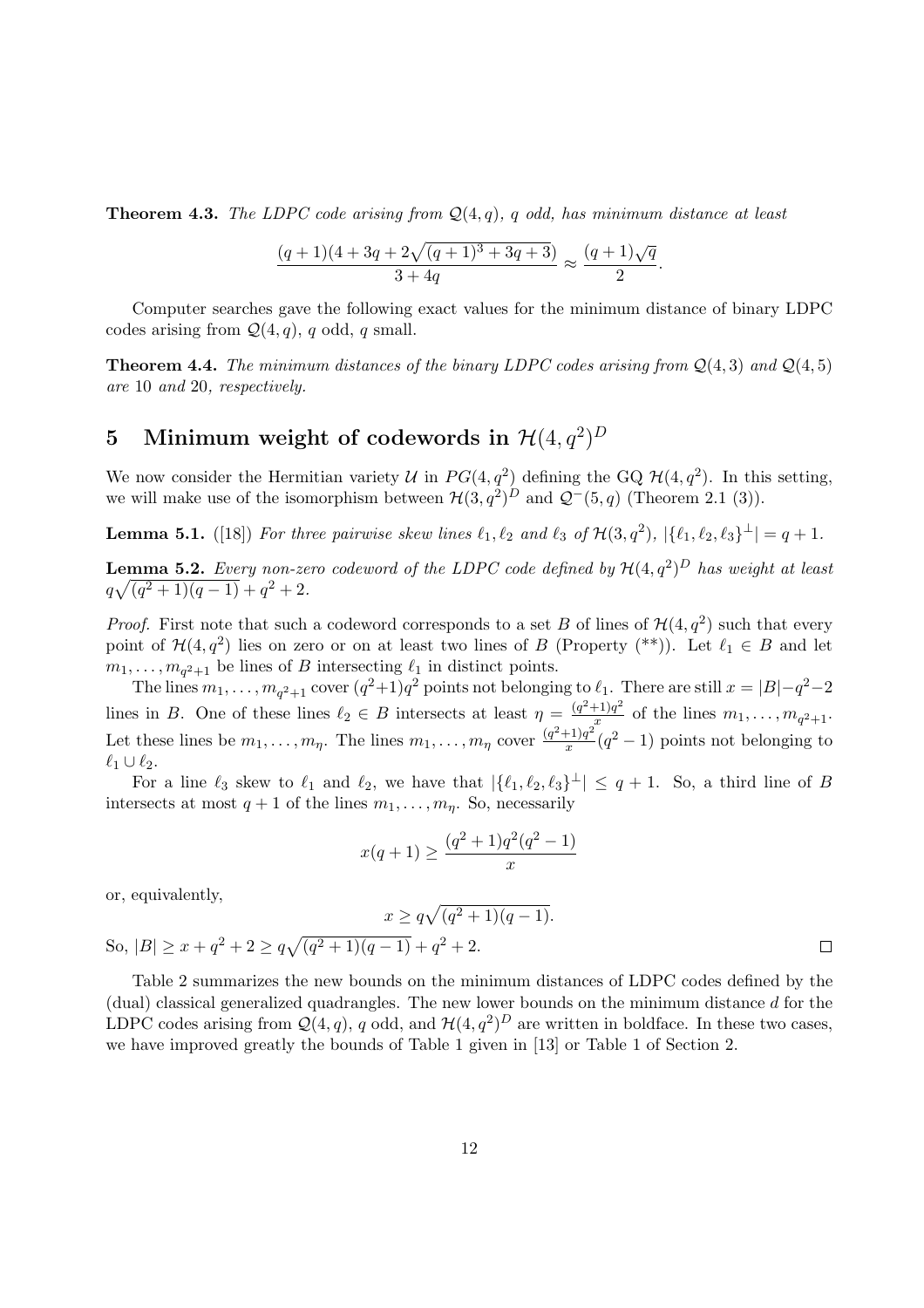**Theorem 4.3.** The LDPC code arising from  $Q(4,q)$ , q odd, has minimum distance at least

$$
\frac{(q+1)(4+3q+2\sqrt{(q+1)^3+3q+3})}{3+4q} \approx \frac{(q+1)\sqrt{q}}{2}.
$$

Computer searches gave the following exact values for the minimum distance of binary LDPC codes arising from  $\mathcal{Q}(4,q)$ , q odd, q small.

**Theorem 4.4.** The minimum distances of the binary LDPC codes arising from  $Q(4,3)$  and  $Q(4,5)$ are 10 and 20, respectively.

# 5 Minimum weight of codewords in  $\mathcal{H}(4,q^2)^D$

We now consider the Hermitian variety U in  $PG(4, q^2)$  defining the GQ  $\mathcal{H}(4, q^2)$ . In this setting, we will make use of the isomorphism between  $\mathcal{H}(3,q^2)^D$  and  $\mathcal{Q}^-(5,q)$  (Theorem 2.1 (3)).

**Lemma 5.1.** ([18]) For three pairwise skew lines  $\ell_1, \ell_2$  and  $\ell_3$  of  $\mathcal{H}(3, q^2)$ ,  $|\{\ell_1, \ell_2, \ell_3\}^{\perp}| = q + 1$ .

**Lemma 5.2.** Every non-zero codeword of the LDPC code defined by  $\mathcal{H}(4,q^2)^D$  has weight at least  $q\sqrt{(q^2+1)(q-1)}+q^2+2.$ 

*Proof.* First note that such a codeword corresponds to a set B of lines of  $\mathcal{H}(4, q^2)$  such that every point of  $\mathcal{H}(4,q^2)$  lies on zero or on at least two lines of B (Property (\*\*)). Let  $\ell_1 \in B$  and let  $m_1, \ldots, m_{q^2+1}$  be lines of B intersecting  $\ell_1$  in distinct points.

The lines  $m_1, \ldots, m_{q^2+1}$  cover  $(q^2+1)q^2$  points not belonging to  $\ell_1$ . There are still  $x = |B|-q^2-2$ lines in B. One of these lines  $\ell_2 \in B$  intersects at least  $\eta = \frac{(q^2+1)q^2}{x}$  $\frac{f(1)q^2}{x}$  of the lines  $m_1, \ldots, m_{q^2+1}$ . Let these lines be  $m_1, \ldots, m_\eta$ . The lines  $m_1, \ldots, m_\eta$  cover  $\frac{(q^2+1)q^2}{r}$  $\frac{(-1)q^2}{x}(q^2-1)$  points not belonging to  $\ell_1 \cup \ell_2$ .

For a line  $\ell_3$  skew to  $\ell_1$  and  $\ell_2$ , we have that  $|\{\ell_1, \ell_2, \ell_3\}^{\perp}| \le q + 1$ . So, a third line of B intersects at most  $q + 1$  of the lines  $m_1, \ldots, m_n$ . So, necessarily

$$
x(q+1) \ge \frac{(q^2+1)q^2(q^2-1)}{x}
$$

or, equivalently,

$$
x \ge q\sqrt{(q^2+1)(q-1)}.
$$
  

$$
\frac{q}{q-1} + q^2 + 2.
$$

So,  $|B| \ge x + q^2 + 2 \ge q\sqrt{ }$  $\sqrt{(q^2+1)(q-1)}+q$  $^{2}+2.$ 

Table 2 summarizes the new bounds on the minimum distances of LDPC codes defined by the  $(dual)$  classical generalized quadrangles. The new lower bounds on the minimum distance  $d$  for the LDPC codes arising from  $\mathcal{Q}(4,q)$ , q odd, and  $\mathcal{H}(4,q^2)^D$  are written in boldface. In these two cases, we have improved greatly the bounds of Table 1 given in [13] or Table 1 of Section 2.

 $\Box$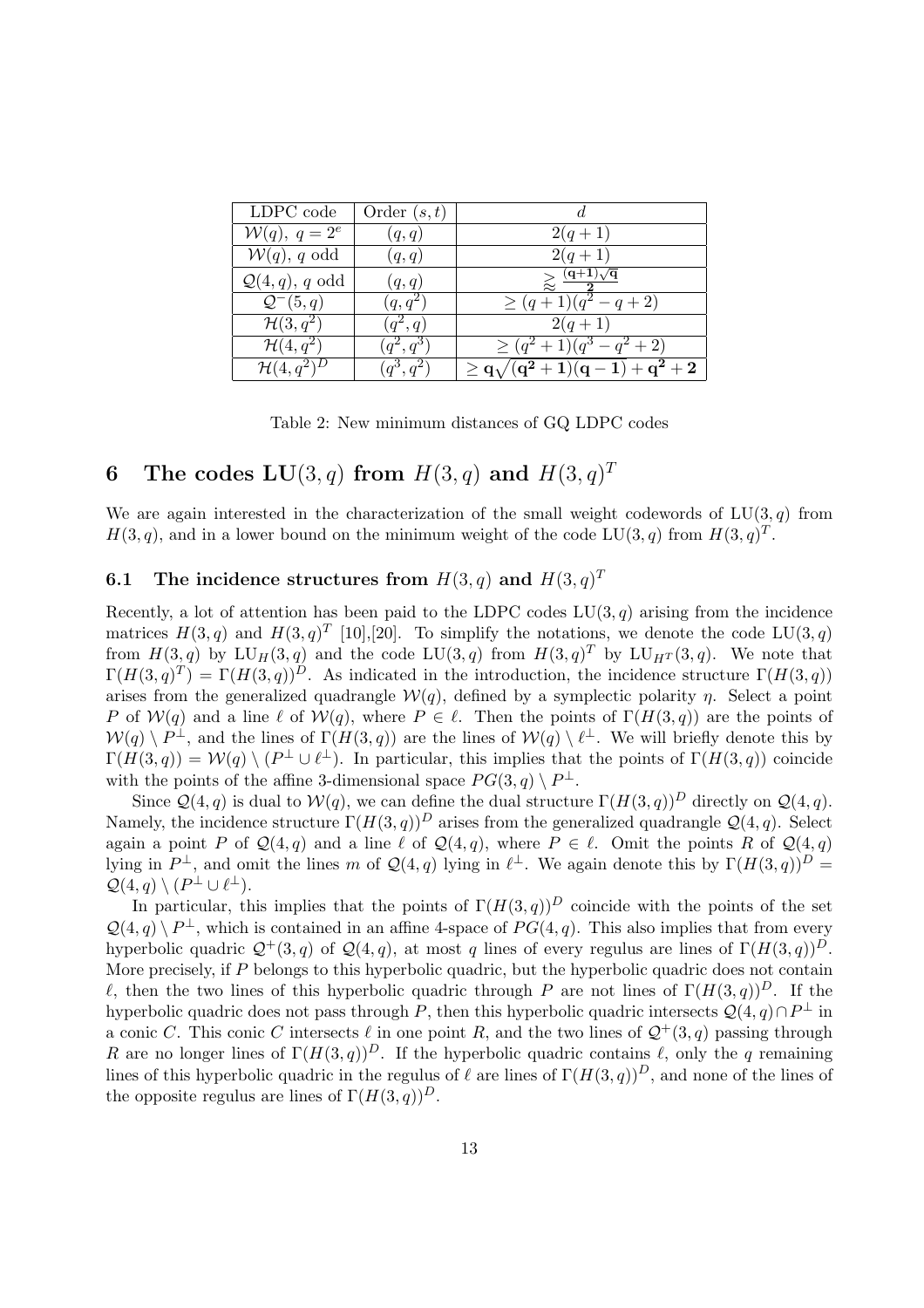| LDPC code                  | Order $(s,t)$        |                                   |
|----------------------------|----------------------|-----------------------------------|
| $W(q)$ , $q = 2^e$         | (q, q)               | $2(q+1)$                          |
| $W(q)$ , q odd             | (q,q)                | $2(q+1)$                          |
| $\mathcal{Q}(4,q)$ , q odd | (q,q)                | $> \frac{(q+1)\sqrt{q}}{q}$       |
| $\mathcal{Q}^-(5,q)$       | $(q, q^2)$           | $\geq (q+1)(q^2-q+2)$             |
| $\mathcal{H}(3,q^2)$       | $\overline{(q^2,q)}$ | $2(q+1)$                          |
| $\mathcal{H}(4,q^2)$       | $(q^2,q^3)$          | $\geq (q^2+1)(q^3-q^2+2)$         |
| $\mathcal{H}(4,q^2)^D$     | $(q^3, q^2)$         | $\geq q\sqrt{(q^2+1)(q-1)+q^2+2}$ |

Table 2: New minimum distances of GQ LDPC codes

# 6 The codes  $LU(3, q)$  from  $H(3, q)$  and  $H(3, q)^T$

We are again interested in the characterization of the small weight codewords of  $LU(3, q)$  from  $H(3, q)$ , and in a lower bound on the minimum weight of the code LU(3, q) from  $H(3, q)^T$ .

### 6.1 The incidence structures from  $H(3,q)$  and  $H(3,q)^T$

Recently, a lot of attention has been paid to the LDPC codes  $LU(3, q)$  arising from the incidence matrices  $H(3, q)$  and  $H(3, q)^T$  [10], [20]. To simplify the notations, we denote the code LU(3, q) from  $H(3,q)$  by  $LU_H(3,q)$  and the code  $LU(3,q)$  from  $H(3,q)^T$  by  $LU_{H^T}(3,q)$ . We note that  $\Gamma(H(3,q)^T) = \Gamma(H(3,q))^D$ . As indicated in the introduction, the incidence structure  $\Gamma(H(3,q))$ arises from the generalized quadrangle  $W(q)$ , defined by a symplectic polarity  $\eta$ . Select a point P of  $W(q)$  and a line  $\ell$  of  $W(q)$ , where  $P \in \ell$ . Then the points of  $\Gamma(H(3,q))$  are the points of  $W(q) \setminus P^{\perp}$ , and the lines of  $\Gamma(H(3,q))$  are the lines of  $W(q) \setminus \ell^{\perp}$ . We will briefly denote this by  $\Gamma(H(3,q)) = \mathcal{W}(q) \setminus (P^{\perp} \cup \ell^{\perp}).$  In particular, this implies that the points of  $\Gamma(H(3,q))$  coincide with the points of the affine 3-dimensional space  $PG(3, q) \setminus P^{\perp}$ .

Since  $\mathcal{Q}(4,q)$  is dual to  $\mathcal{W}(q)$ , we can define the dual structure  $\Gamma(H(3,q))^D$  directly on  $\mathcal{Q}(4,q)$ . Namely, the incidence structure  $\Gamma(H(3,q))^D$  arises from the generalized quadrangle  $\mathcal{Q}(4,q)$ . Select again a point P of  $\mathcal{Q}(4,q)$  and a line  $\ell$  of  $\mathcal{Q}(4,q)$ , where  $P \in \ell$ . Omit the points R of  $\mathcal{Q}(4,q)$ lying in  $P^{\perp}$ , and omit the lines m of  $\mathcal{Q}(4,q)$  lying in  $\ell^{\perp}$ . We again denote this by  $\Gamma(H(3,q))^D =$  $\mathcal{Q}(4,q) \setminus (P^{\perp} \cup \ell^{\perp}).$ 

In particular, this implies that the points of  $\Gamma(H(3,q))^D$  coincide with the points of the set  $\mathcal{Q}(4,q) \setminus P^{\perp}$ , which is contained in an affine 4-space of  $PG(4,q)$ . This also implies that from every hyperbolic quadric  $\mathcal{Q}^+(3, q)$  of  $\mathcal{Q}(4, q)$ , at most q lines of every regulus are lines of  $\Gamma(H(3, q))^D$ . More precisely, if P belongs to this hyperbolic quadric, but the hyperbolic quadric does not contain  $\ell$ , then the two lines of this hyperbolic quadric through P are not lines of  $\Gamma(H(3, q))^D$ . If the hyperbolic quadric does not pass through P, then this hyperbolic quadric intersects  $\mathcal{Q}(4,q) \cap P^{\perp}$  in a conic C. This conic C intersects  $\ell$  in one point R, and the two lines of  $\mathcal{Q}^+(3, q)$  passing through R are no longer lines of  $\Gamma(H(3,q))^D$ . If the hyperbolic quadric contains  $\ell$ , only the q remaining lines of this hyperbolic quadric in the regulus of  $\ell$  are lines of  $\Gamma(H(3, q))^D$ , and none of the lines of the opposite regulus are lines of  $\Gamma(H(3,q))^D$ .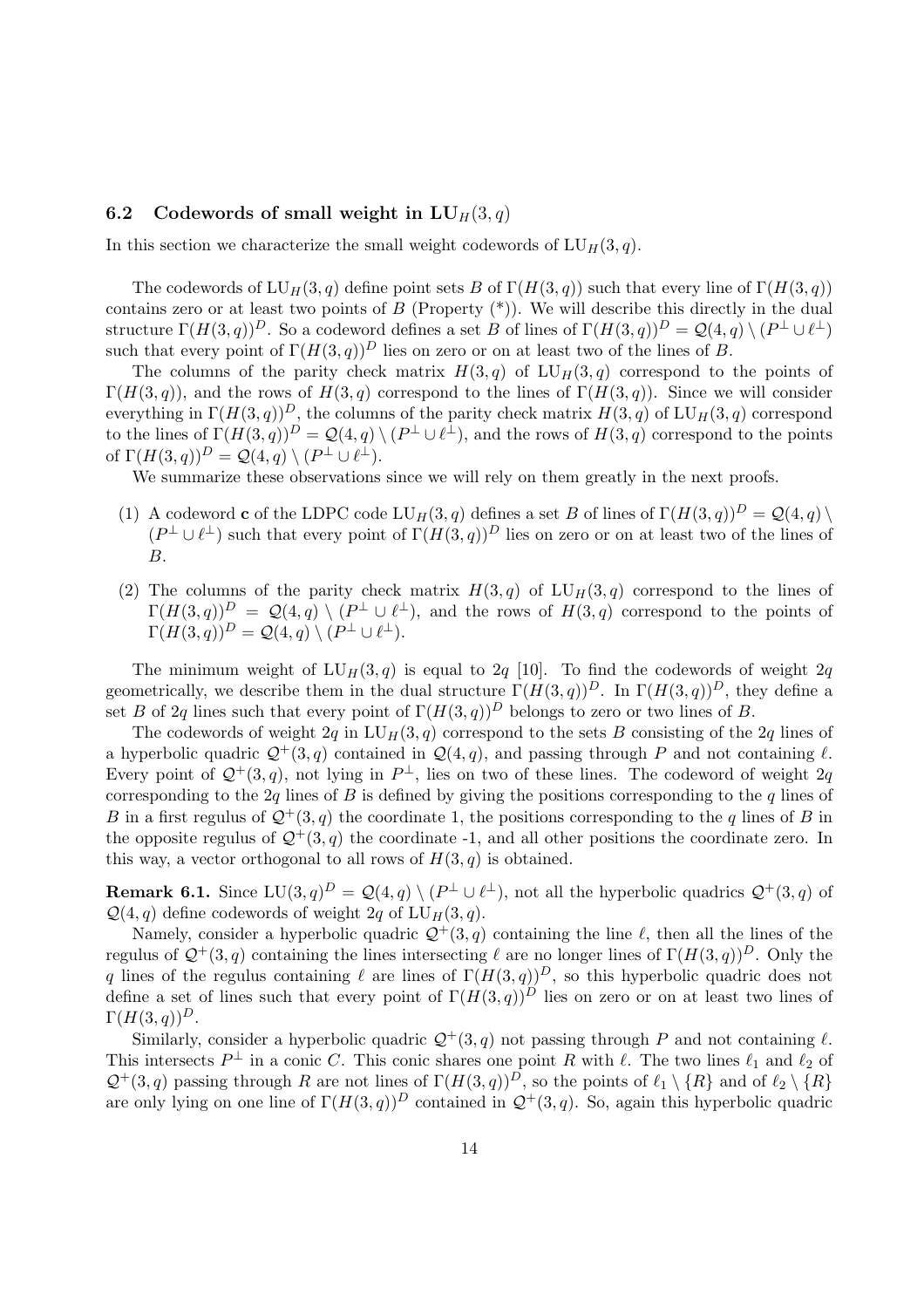### 6.2 Codewords of small weight in  $LU_H(3, q)$

In this section we characterize the small weight codewords of  $LU_H(3, q)$ .

The codewords of  $LU_H(3, q)$  define point sets B of  $\Gamma(H(3, q))$  such that every line of  $\Gamma(H(3, q))$ contains zero or at least two points of  $B$  (Property  $(*)$ ). We will describe this directly in the dual structure  $\Gamma(H(3,q))^D$ . So a codeword defines a set B of lines of  $\Gamma(H(3,q))^D = \mathcal{Q}(4,q) \setminus (P^{\perp} \cup \ell^{\perp})$ such that every point of  $\Gamma(H(3,q))^D$  lies on zero or on at least two of the lines of B.

The columns of the parity check matrix  $H(3, q)$  of  $LU_H(3, q)$  correspond to the points of  $\Gamma(H(3,q))$ , and the rows of  $H(3,q)$  correspond to the lines of  $\Gamma(H(3,q))$ . Since we will consider everything in  $\Gamma(H(3,q))^D$ , the columns of the parity check matrix  $H(3, q)$  of  $LU_H(3, q)$  correspond to the lines of  $\Gamma(H(3,q))^D = \mathcal{Q}(4,q) \setminus (P^{\perp} \cup \ell^{\perp}),$  and the rows of  $H(3,q)$  correspond to the points of  $\Gamma(H(3,q))^D = \mathcal{Q}(4,q) \setminus (P^{\perp} \cup \ell^{\perp}).$ 

We summarize these observations since we will rely on them greatly in the next proofs.

- (1) A codeword **c** of the LDPC code  $LU_H(3, q)$  defines a set B of lines of  $\Gamma(H(3, q))^D = \mathcal{Q}(4, q) \setminus \mathcal{Q}(4, q)$  $(P^{\perp} \cup \ell^{\perp})$  such that every point of  $\Gamma(H(3,q))^D$  lies on zero or on at least two of the lines of B.
- (2) The columns of the parity check matrix  $H(3, q)$  of  $LU_H(3, q)$  correspond to the lines of  $\Gamma(H(3,q))^D = \mathcal{Q}(4,q) \setminus (P^{\perp} \cup \ell^{\perp}),$  and the rows of  $H(3,q)$  correspond to the points of  $\Gamma(H(3,q))^D = \mathcal{Q}(4,q) \setminus (P^{\perp} \cup \ell^{\perp}).$

The minimum weight of  $LU_H(3, q)$  is equal to  $2q$  [10]. To find the codewords of weight  $2q$ geometrically, we describe them in the dual structure  $\Gamma(H(3,q))^D$ . In  $\Gamma(H(3,q))^D$ , they define a set B of 2q lines such that every point of  $\Gamma(H(3,q))^D$  belongs to zero or two lines of B.

The codewords of weight 2q in  $LU_H(3, q)$  correspond to the sets B consisting of the 2q lines of a hyperbolic quadric  $\mathcal{Q}^+(3, q)$  contained in  $\mathcal{Q}(4, q)$ , and passing through P and not containing  $\ell$ . Every point of  $\mathcal{Q}^+(3,q)$ , not lying in  $P^{\perp}$ , lies on two of these lines. The codeword of weight 2q. corresponding to the  $2q$  lines of B is defined by giving the positions corresponding to the q lines of B in a first regulus of  $\mathcal{Q}^+(3, q)$  the coordinate 1, the positions corresponding to the q lines of B in the opposite regulus of  $\mathcal{Q}^+(3,q)$  the coordinate -1, and all other positions the coordinate zero. In this way, a vector orthogonal to all rows of  $H(3, q)$  is obtained.

**Remark 6.1.** Since  $LU(3, q)^D = Q(4, q) \setminus (P^{\perp} \cup \ell^{\perp})$ , not all the hyperbolic quadrics  $Q^+(3, q)$  of  $\mathcal{Q}(4, q)$  define codewords of weight 2q of  $LU_H(3, q)$ .

Namely, consider a hyperbolic quadric  $\mathcal{Q}^+(3, q)$  containing the line  $\ell$ , then all the lines of the regulus of  $\mathcal{Q}^+(3, q)$  containing the lines intersecting  $\ell$  are no longer lines of  $\Gamma(H(3, q))^D$ . Only the q lines of the regulus containing  $\ell$  are lines of  $\Gamma(H(3,q))^D$ , so this hyperbolic quadric does not define a set of lines such that every point of  $\Gamma(H(3,q))^D$  lies on zero or on at least two lines of  $\Gamma(H(3,q))^D$ .

Similarly, consider a hyperbolic quadric  $\mathcal{Q}^+(3, q)$  not passing through P and not containing  $\ell$ . This intersects  $P^{\perp}$  in a conic C. This conic shares one point R with  $\ell$ . The two lines  $\ell_1$  and  $\ell_2$  of  $\mathcal{Q}^+(3, q)$  passing through R are not lines of  $\Gamma(H(3, q))^D$ , so the points of  $\ell_1 \setminus \{R\}$  and of  $\ell_2 \setminus \{R\}$ are only lying on one line of  $\Gamma(H(3,q))^D$  contained in  $\mathcal{Q}^+(3,q)$ . So, again this hyperbolic quadric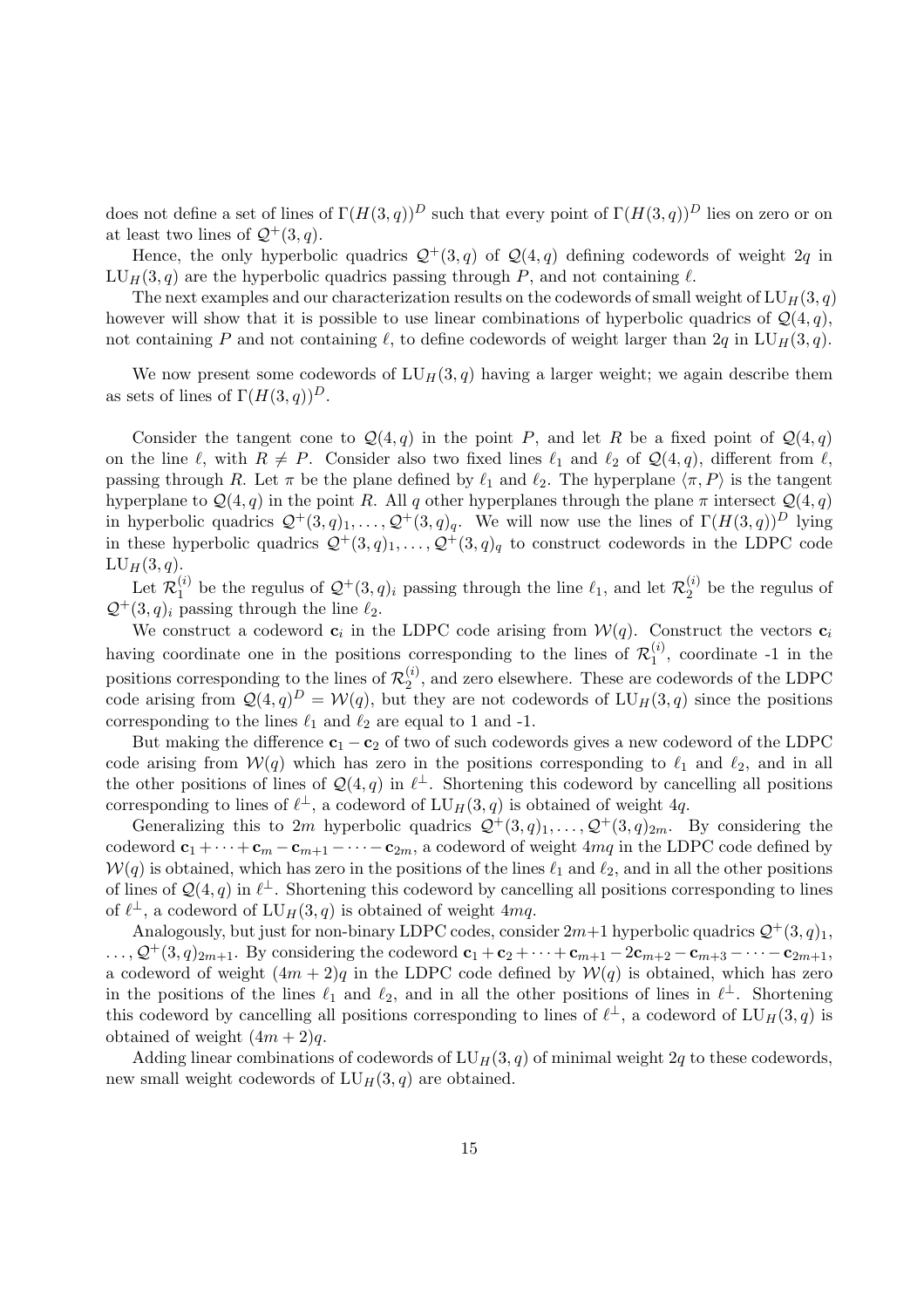does not define a set of lines of  $\Gamma(H(3,q))^D$  such that every point of  $\Gamma(H(3,q))^D$  lies on zero or on at least two lines of  $\mathcal{Q}^+(3, q)$ .

Hence, the only hyperbolic quadrics  $\mathcal{Q}^+(3, q)$  of  $\mathcal{Q}(4, q)$  defining codewords of weight  $2q$  in  $LU_H(3, q)$  are the hyperbolic quadrics passing through P, and not containing  $\ell$ .

The next examples and our characterization results on the codewords of small weight of  $LU_H(3, q)$ however will show that it is possible to use linear combinations of hyperbolic quadrics of  $\mathcal{Q}(4, q)$ , not containing P and not containing  $\ell$ , to define codewords of weight larger than 2q in LU<sub>H</sub>(3, q).

We now present some codewords of  $LU_H(3, q)$  having a larger weight; we again describe them as sets of lines of  $\Gamma(H(3,q))^D$ .

Consider the tangent cone to  $\mathcal{Q}(4,q)$  in the point P, and let R be a fixed point of  $\mathcal{Q}(4,q)$ on the line  $\ell$ , with  $R \neq P$ . Consider also two fixed lines  $\ell_1$  and  $\ell_2$  of  $\mathcal{Q}(4, q)$ , different from  $\ell$ , passing through R. Let  $\pi$  be the plane defined by  $\ell_1$  and  $\ell_2$ . The hyperplane  $\langle \pi, P \rangle$  is the tangent hyperplane to  $\mathcal{Q}(4,q)$  in the point R. All q other hyperplanes through the plane  $\pi$  intersect  $\mathcal{Q}(4,q)$ in hyperbolic quadrics  $\mathcal{Q}^+(3, q)_1, \ldots, \mathcal{Q}^+(3, q)_q$ . We will now use the lines of  $\Gamma(H(3, q))^D$  lying in these hyperbolic quadrics  $\mathcal{Q}^+(3, q)_1, \ldots, \mathcal{Q}^+(3, q)_q$  to construct codewords in the LDPC code  $LU_H(3,q).$ 

 ${\rm Let\; } {\mathcal R}^{(i)}_1$  $\mathcal{L}_1^{(i)}$  be the regulus of  $\mathcal{Q}^+(3, q)_i$  passing through the line  $\ell_1$ , and let  $\mathcal{R}_2^{(i)}$  $2^{(i)}$  be the regulus of  $\mathcal{Q}^+(3, q)_i$  passing through the line  $\ell_2$ .

We construct a codeword  $c_i$  in the LDPC code arising from  $\mathcal{W}(q)$ . Construct the vectors  $c_i$ having coordinate one in the positions corresponding to the lines of  $\mathcal{R}_1^{(i)}$  $1^{(1)}$ , coordinate -1 in the positions corresponding to the lines of  $\mathcal{R}_2^{(i)}$  $2^{(2)}$ , and zero elsewhere. These are codewords of the LDPC code arising from  $\mathcal{Q}(4,q)^D = \mathcal{W}(q)$ , but they are not codewords of  $LU_H(3,q)$  since the positions corresponding to the lines  $\ell_1$  and  $\ell_2$  are equal to 1 and -1.

But making the difference  $c_1 - c_2$  of two of such codewords gives a new codeword of the LDPC code arising from  $W(q)$  which has zero in the positions corresponding to  $\ell_1$  and  $\ell_2$ , and in all the other positions of lines of  $\mathcal{Q}(4,q)$  in  $\ell^{\perp}$ . Shortening this codeword by cancelling all positions corresponding to lines of  $\ell^{\perp}$ , a codeword of  $LU_H(3, q)$  is obtained of weight 4q.

Generalizing this to 2m hyperbolic quadrics  $\mathcal{Q}^+(3, q)_1, \ldots, \mathcal{Q}^+(3, q)_{2m}$ . By considering the codeword  $c_1 + \cdots + c_m - c_{m+1} - \cdots - c_{2m}$ , a codeword of weight 4mq in the LDPC code defined by  $W(q)$  is obtained, which has zero in the positions of the lines  $\ell_1$  and  $\ell_2$ , and in all the other positions of lines of  $\mathcal{Q}(4,q)$  in  $\ell^{\perp}$ . Shortening this codeword by cancelling all positions corresponding to lines of  $\ell^{\perp}$ , a codeword of  $LU_H(3, q)$  is obtained of weight 4mq.

Analogously, but just for non-binary LDPC codes, consider  $2m+1$  hyperbolic quadrics  $\mathcal{Q}^+(3, q)_1$ ,  $\ldots, \mathcal{Q}^+(3, q)_{2m+1}$ . By considering the codeword  $\mathbf{c}_1 + \mathbf{c}_2 + \cdots + \mathbf{c}_{m+1} - 2\mathbf{c}_{m+2} - \mathbf{c}_{m+3} - \cdots - \mathbf{c}_{2m+1}$ , a codeword of weight  $(4m + 2)q$  in the LDPC code defined by  $W(q)$  is obtained, which has zero in the positions of the lines  $\ell_1$  and  $\ell_2$ , and in all the other positions of lines in  $\ell^{\perp}$ . Shortening this codeword by cancelling all positions corresponding to lines of  $\ell^{\perp}$ , a codeword of  $LU_H(3, q)$  is obtained of weight  $(4m + 2)q$ .

Adding linear combinations of codewords of  $LU_H(3, q)$  of minimal weight 2q to these codewords, new small weight codewords of  $LU_H(3, q)$  are obtained.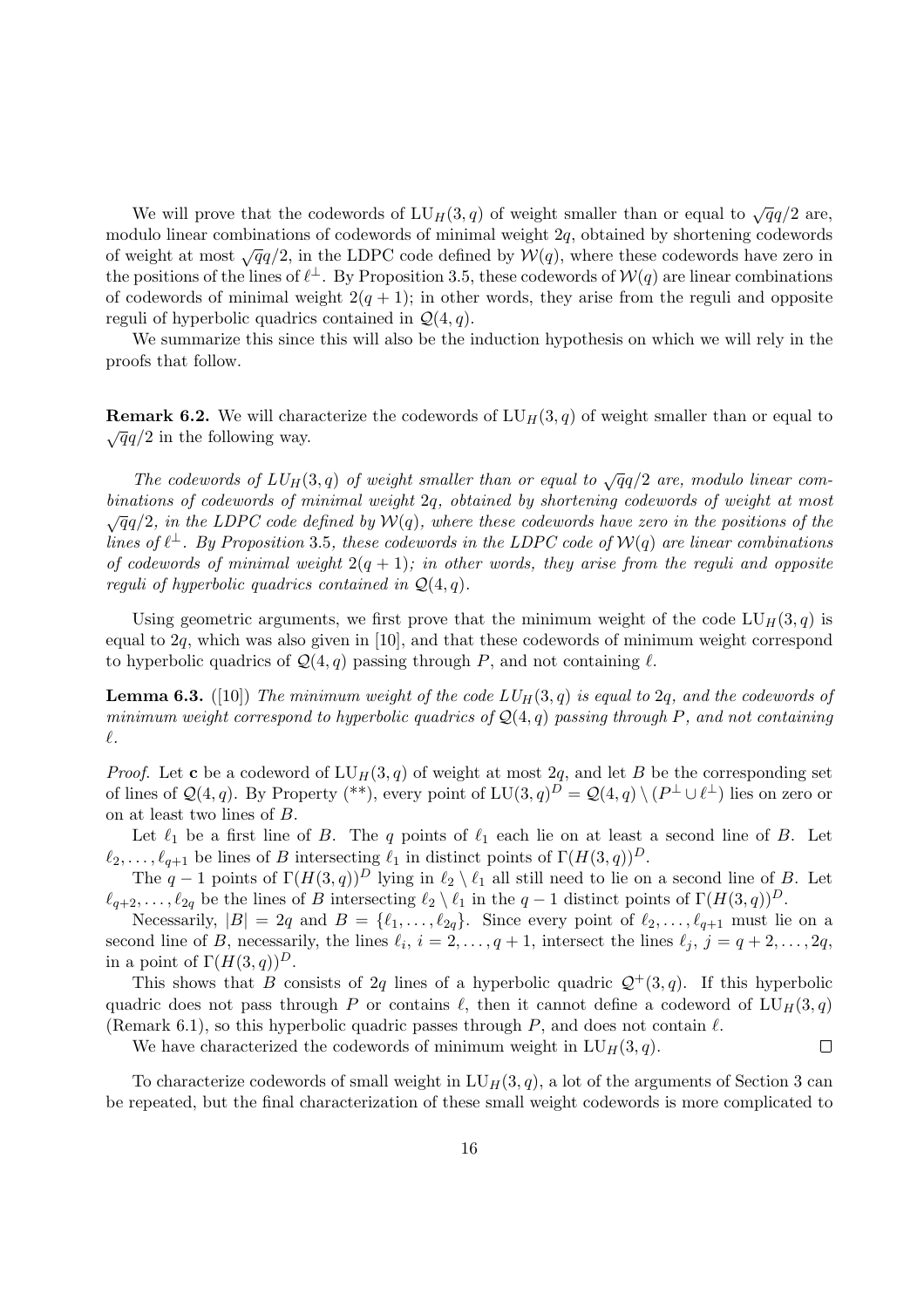We will prove that the codewords of  $LU_H(3, q)$  of weight smaller than or equal to  $\sqrt{q}q/2$  are, modulo linear combinations of codewords of minimal weight  $2q$ , obtained by shortening codewords of weight at most  $\sqrt{q}q/2$ , in the LDPC code defined by  $\mathcal{W}(q)$ , where these codewords have zero in the positions of the lines of  $\ell^{\perp}$ . By Proposition 3.5, these codewords of  $\mathcal{W}(q)$  are linear combinations of codewords of minimal weight  $2(q + 1)$ ; in other words, they arise from the reguli and opposite reguli of hyperbolic quadrics contained in  $\mathcal{Q}(4, q)$ .

We summarize this since this will also be the induction hypothesis on which we will rely in the proofs that follow.

**Remark 6.2.** We will characterize the codewords of  $LU_H(3, q)$  of weight smaller than or equal to  $\sqrt{q}q/2$  in the following way.

The codewords of  $LU_H(3, q)$  of weight smaller than or equal to  $\sqrt{q}q/2$  are, modulo linear combinations of codewords of minimal weight 2q, obtained by shortening codewords of weight at most  $\sqrt{q}q/2$ , in the LDPC code defined by  $\mathcal{W}(q)$ , where these codewords have zero in the positions of the lines of  $\ell^{\perp}$ . By Proposition 3.5, these codewords in the LDPC code of  $\mathcal{W}(q)$  are linear combinations of codewords of minimal weight  $2(q + 1)$ ; in other words, they arise from the reguli and opposite reguli of hyperbolic quadrics contained in  $\mathcal{Q}(4,q)$ .

Using geometric arguments, we first prove that the minimum weight of the code  $LU_H(3, q)$  is equal to 2q, which was also given in [10], and that these codewords of minimum weight correspond to hyperbolic quadrics of  $\mathcal{Q}(4, q)$  passing through P, and not containing  $\ell$ .

**Lemma 6.3.** ([10]) The minimum weight of the code  $LU_H(3,q)$  is equal to 2q, and the codewords of minimum weight correspond to hyperbolic quadrics of  $\mathcal{Q}(4,q)$  passing through P, and not containing  $\ell.$ 

*Proof.* Let **c** be a codeword of  $LU_H(3, q)$  of weight at most 2q, and let B be the corresponding set of lines of  $\mathcal{Q}(4,q)$ . By Property (\*\*), every point of  $LU(3,q)^D = \mathcal{Q}(4,q) \setminus (P^{\perp} \cup \ell^{\perp})$  lies on zero or on at least two lines of B.

Let  $\ell_1$  be a first line of B. The q points of  $\ell_1$  each lie on at least a second line of B. Let  $\ell_2, \ldots, \ell_{q+1}$  be lines of B intersecting  $\ell_1$  in distinct points of  $\Gamma(H(3, q))^D$ .

The  $q-1$  points of  $\Gamma(H(3,q))^D$  lying in  $\ell_2 \setminus \ell_1$  all still need to lie on a second line of B. Let  $\ell_{q+2}, \ldots, \ell_{2q}$  be the lines of B intersecting  $\ell_2 \setminus \ell_1$  in the  $q-1$  distinct points of  $\Gamma(H(3, q))^D$ .

Necessarily,  $|B| = 2q$  and  $B = \{\ell_1, \ldots, \ell_{2q}\}.$  Since every point of  $\ell_2, \ldots, \ell_{q+1}$  must lie on a second line of B, necessarily, the lines  $\ell_i$ ,  $i = 2, \ldots, q + 1$ , intersect the lines  $\ell_j$ ,  $j = q + 2, \ldots, 2q$ , in a point of  $\Gamma(H(3, q))^D$ .

This shows that B consists of 2q lines of a hyperbolic quadric  $\mathcal{Q}^+(3, q)$ . If this hyperbolic quadric does not pass through P or contains  $\ell$ , then it cannot define a codeword of  $LU_H(3, q)$ (Remark 6.1), so this hyperbolic quadric passes through P, and does not contain  $\ell$ .

We have characterized the codewords of minimum weight in  $LU_H(3, q)$ .  $\Box$ 

To characterize codewords of small weight in  $LU_H(3, q)$ , a lot of the arguments of Section 3 can be repeated, but the final characterization of these small weight codewords is more complicated to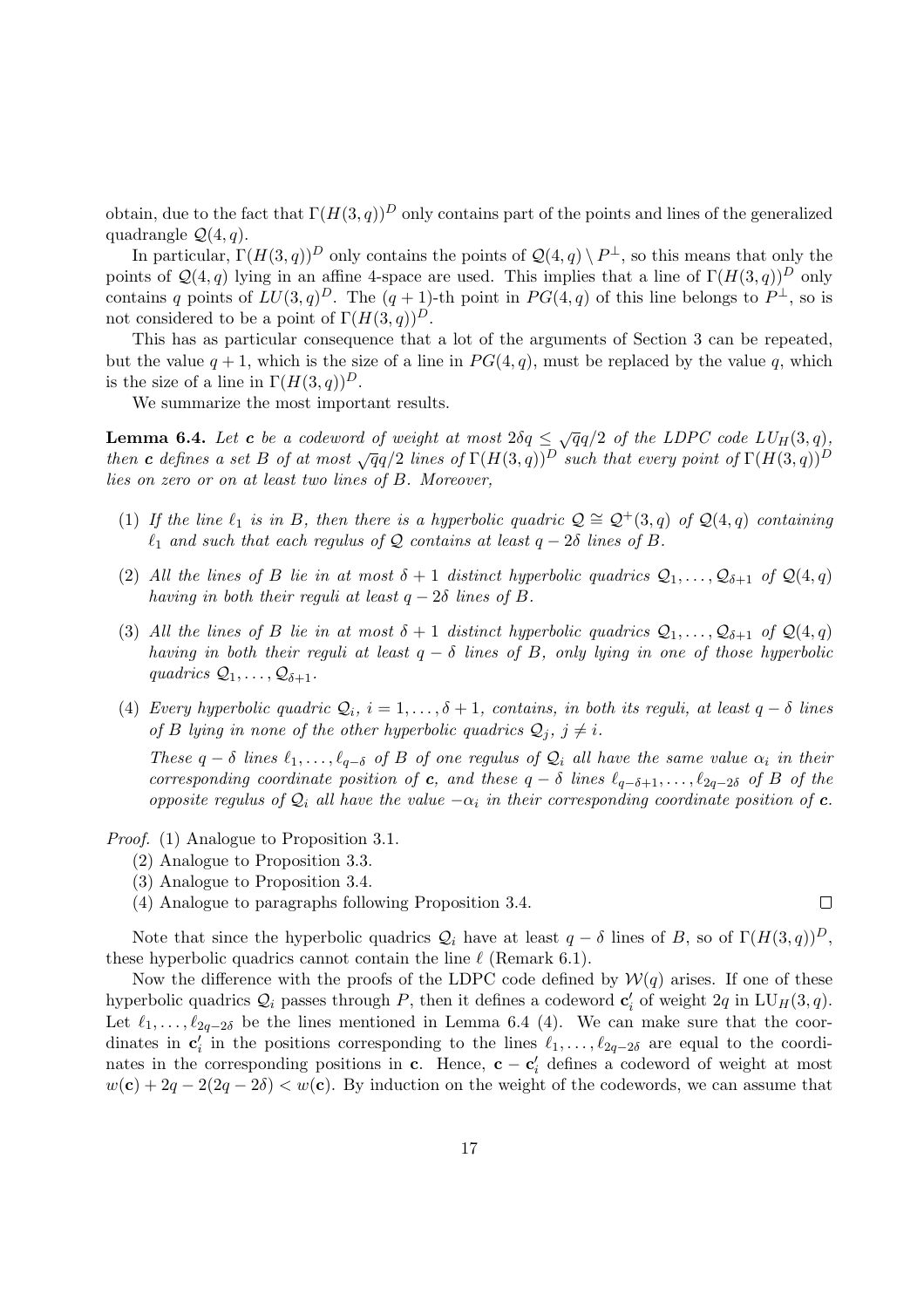obtain, due to the fact that  $\Gamma(H(3,q))^D$  only contains part of the points and lines of the generalized quadrangle  $\mathcal{Q}(4, q)$ .

In particular,  $\Gamma(H(3,q))^D$  only contains the points of  $\mathcal{Q}(4,q) \setminus P^{\perp}$ , so this means that only the points of  $\mathcal{Q}(4,q)$  lying in an affine 4-space are used. This implies that a line of  $\Gamma(H(3,q))^D$  only contains q points of  $LU(3,q)^D$ . The  $(q+1)$ -th point in  $PG(4,q)$  of this line belongs to  $P^{\perp}$ , so is not considered to be a point of  $\Gamma(H(3,q))^D$ .

This has as particular consequence that a lot of the arguments of Section 3 can be repeated, but the value  $q + 1$ , which is the size of a line in  $PG(4, q)$ , must be replaced by the value q, which is the size of a line in  $\Gamma(H(3,q))^D$ .

We summarize the most important results.

**Lemma 6.4.** Let **c** be a codeword of weight at most  $2\delta q \leq \sqrt{q}q/2$  of the LDPC code  $LU_H(3, q)$ , **EXECTED EXECTED**  $\mathcal{L}$  is a contracted by actional of  $\mathcal{L}(\mathcal{H}(\mathcal{S}, q))$  is  $\mathcal{L}(\mathcal{H}(\mathcal{S}, q))$  with that every point of  $\Gamma(H(\mathcal{S}, q))^D$ lies on zero or on at least two lines of B. Moreover,

- (1) If the line  $\ell_1$  is in B, then there is a hyperbolic quadric  $\mathcal{Q} \cong \mathcal{Q}^+(3, q)$  of  $\mathcal{Q}(4, q)$  containing  $\ell_1$  and such that each regulus of Q contains at least  $q - 2\delta$  lines of B.
- (2) All the lines of B lie in at most  $\delta + 1$  distinct hyperbolic quadrics  $\mathcal{Q}_1, \ldots, \mathcal{Q}_{\delta+1}$  of  $\mathcal{Q}(4, q)$ having in both their reguli at least  $q - 2\delta$  lines of B.
- (3) All the lines of B lie in at most  $\delta + 1$  distinct hyperbolic quadrics  $\mathcal{Q}_1, \ldots, \mathcal{Q}_{\delta+1}$  of  $\mathcal{Q}(4,q)$ having in both their reguli at least  $q - \delta$  lines of B, only lying in one of those hyperbolic quadrics  $\mathcal{Q}_1, \ldots, \mathcal{Q}_{\delta+1}$ .
- (4) Every hyperbolic quadric  $Q_i$ ,  $i = 1, \ldots, \delta + 1$ , contains, in both its reguli, at least  $q \delta$  lines of B lying in none of the other hyperbolic quadrics  $Q_i$ ,  $j \neq i$ .

These  $q - \delta$  lines  $\ell_1, \ldots, \ell_{q-\delta}$  of B of one regulus of  $\mathcal{Q}_i$  all have the same value  $\alpha_i$  in their corresponding coordinate position of c, and these  $q - \delta$  lines  $\ell_{q-\delta+1}, \ldots, \ell_{2q-2\delta}$  of B of the opposite regulus of  $\mathcal{Q}_i$  all have the value  $-\alpha_i$  in their corresponding coordinate position of c.

Proof. (1) Analogue to Proposition 3.1.

- (2) Analogue to Proposition 3.3.
- (3) Analogue to Proposition 3.4.
- (4) Analogue to paragraphs following Proposition 3.4.

Note that since the hyperbolic quadrics  $Q_i$  have at least  $q - \delta$  lines of B, so of  $\Gamma(H(3,q))^D$ , these hyperbolic quadrics cannot contain the line  $\ell$  (Remark 6.1).

Now the difference with the proofs of the LDPC code defined by  $W(q)$  arises. If one of these hyperbolic quadrics  $\mathcal{Q}_i$  passes through P, then it defines a codeword  $\mathbf{c}'_i$  of weight  $2q$  in  $L \mathbf{U}_H(3, q)$ . Let  $\ell_1, \ldots, \ell_{2q-2\delta}$  be the lines mentioned in Lemma 6.4 (4). We can make sure that the coordinates in  $c'_i$  in the positions corresponding to the lines  $\ell_1, \ldots, \ell_{2q-2\delta}$  are equal to the coordinates in the corresponding positions in c. Hence,  $\mathbf{c} - \mathbf{c}'_i$  defines a codeword of weight at most  $w(c) + 2q - 2(2q - 2\delta) < w(c)$ . By induction on the weight of the codewords, we can assume that

 $\Box$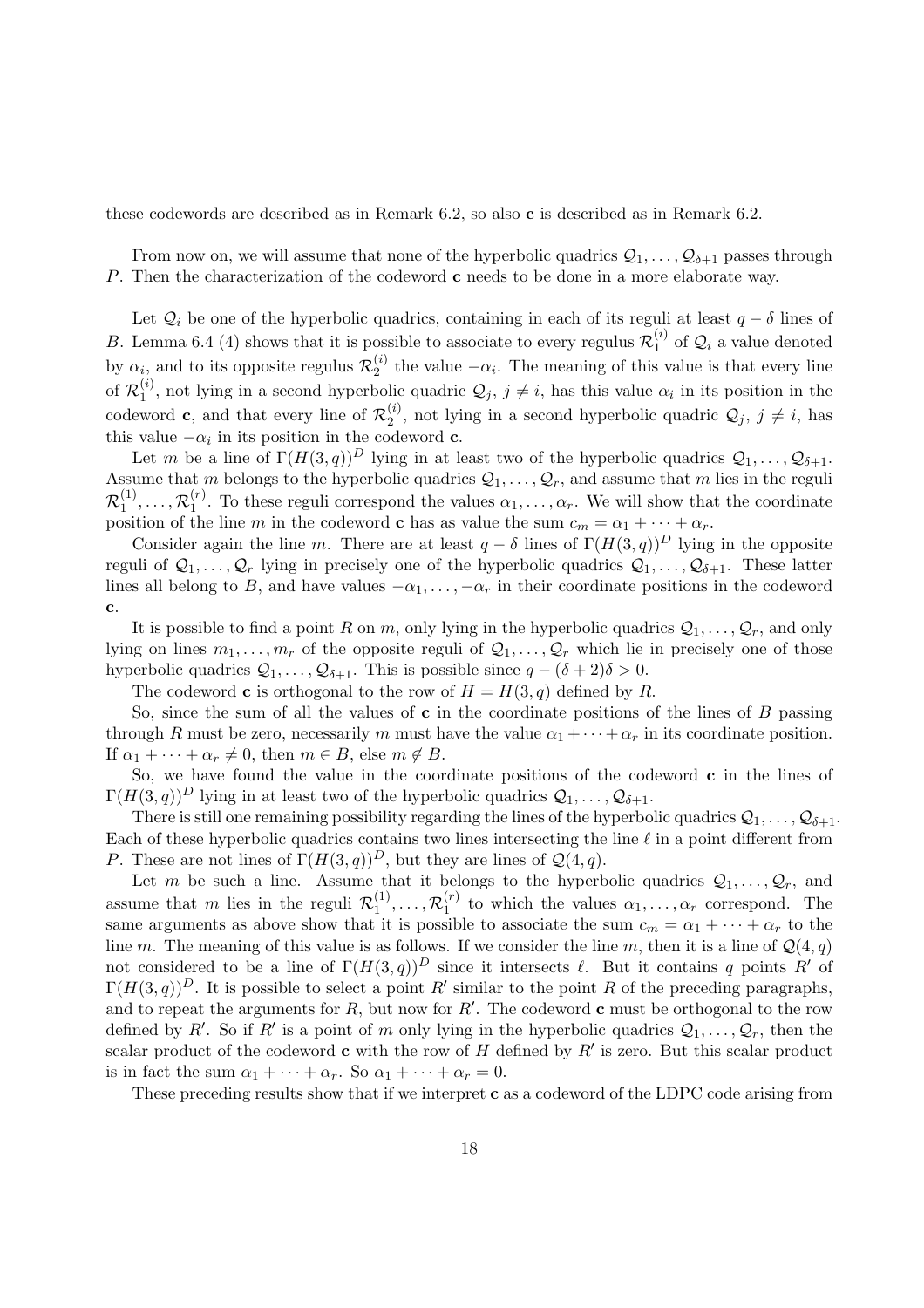these codewords are described as in Remark 6.2, so also c is described as in Remark 6.2.

From now on, we will assume that none of the hyperbolic quadrics  $Q_1, \ldots, Q_{\delta+1}$  passes through P. Then the characterization of the codeword **c** needs to be done in a more elaborate way.

Let  $\mathcal{Q}_i$  be one of the hyperbolic quadrics, containing in each of its reguli at least  $q - \delta$  lines of B. Lemma 6.4 (4) shows that it is possible to associate to every regulus  $\mathcal{R}_1^{(i)}$  $i^{(i)}_1$  of  $\mathcal{Q}_i$  a value denoted by  $\alpha_i$ , and to its opposite regulus  $\mathcal{R}_2^{(i)}$  $\frac{1}{2}$  the value  $-\alpha_i$ . The meaning of this value is that every line of  $\mathcal{R}_1^{(i)}$  $\mathcal{Q}_j, j \neq i$ , not lying in a second hyperbolic quadric  $\mathcal{Q}_j, j \neq i$ , has this value  $\alpha_i$  in its position in the codeword **c**, and that every line of  $\mathcal{R}_2^{(i)}$  $\mathcal{Q}_j^{(i)}$ , not lying in a second hyperbolic quadric  $\mathcal{Q}_j$ ,  $j \neq i$ , has this value  $-\alpha_i$  in its position in the codeword **c**.

Let m be a line of  $\Gamma(H(3,q))^D$  lying in at least two of the hyperbolic quadrics  $\mathcal{Q}_1,\ldots,\mathcal{Q}_{\delta+1}$ . Assume that m belongs to the hyperbolic quadrics  $Q_1, \ldots, Q_r$ , and assume that m lies in the reguli  $\mathcal{R}_1^{(1)}$  $\mathcal{R}_1^{(1)},\ldots,\mathcal{R}_1^{(r)}$ <sup>(r)</sup>. To these reguli correspond the values  $\alpha_1, \ldots, \alpha_r$ . We will show that the coordinate position of the line m in the codeword **c** has as value the sum  $c_m = \alpha_1 + \cdots + \alpha_r$ .

Consider again the line m. There are at least  $q - \delta$  lines of  $\Gamma(H(3, q))^D$  lying in the opposite reguli of  $\mathcal{Q}_1, \ldots, \mathcal{Q}_r$  lying in precisely one of the hyperbolic quadrics  $\mathcal{Q}_1, \ldots, \mathcal{Q}_{\delta+1}$ . These latter lines all belong to B, and have values  $-\alpha_1, \ldots, -\alpha_r$  in their coordinate positions in the codeword c.

It is possible to find a point R on m, only lying in the hyperbolic quadrics  $Q_1, \ldots, Q_r$ , and only lying on lines  $m_1, \ldots, m_r$  of the opposite reguli of  $\mathcal{Q}_1, \ldots, \mathcal{Q}_r$  which lie in precisely one of those hyperbolic quadrics  $\mathcal{Q}_1, \ldots, \mathcal{Q}_{\delta+1}$ . This is possible since  $q - (\delta + 2)\delta > 0$ .

The codeword **c** is orthogonal to the row of  $H = H(3, q)$  defined by R.

So, since the sum of all the values of  $\bf{c}$  in the coordinate positions of the lines of  $\bf{B}$  passing through R must be zero, necessarily m must have the value  $\alpha_1 + \cdots + \alpha_r$  in its coordinate position. If  $\alpha_1 + \cdots + \alpha_r \neq 0$ , then  $m \in B$ , else  $m \notin B$ .

So, we have found the value in the coordinate positions of the codeword  $c$  in the lines of  $\Gamma(H(3,q))^D$  lying in at least two of the hyperbolic quadrics  $\mathcal{Q}_1, \ldots, \mathcal{Q}_{\delta+1}$ .

There is still one remaining possibility regarding the lines of the hyperbolic quadrics  $Q_1, \ldots, Q_{\delta+1}$ . Each of these hyperbolic quadrics contains two lines intersecting the line  $\ell$  in a point different from P. These are not lines of  $\Gamma(H(3,q))^D$ , but they are lines of  $\mathcal{Q}(4,q)$ .

Let m be such a line. Assume that it belongs to the hyperbolic quadrics  $Q_1, \ldots, Q_r$ , and assume that m lies in the reguli  $\mathcal{R}_1^{(1)}$  $\mathcal{R}_1^{(1)},\ldots,\mathcal{R}_1^{(r)}$  $\alpha_1^{(r)}$  to which the values  $\alpha_1, \ldots, \alpha_r$  correspond. The same arguments as above show that it is possible to associate the sum  $c_m = \alpha_1 + \cdots + \alpha_r$  to the line m. The meaning of this value is as follows. If we consider the line m, then it is a line of  $\mathcal{Q}(4,q)$ not considered to be a line of  $\Gamma(H(3,q))^D$  since it intersects  $\ell$ . But it contains q points R' of  $\Gamma(H(3,q))^D$ . It is possible to select a point R' similar to the point R of the preceding paragraphs, and to repeat the arguments for  $R$ , but now for  $R'$ . The codeword c must be orthogonal to the row defined by R'. So if R' is a point of m only lying in the hyperbolic quadrics  $Q_1, \ldots, Q_r$ , then the scalar product of the codeword **c** with the row of  $H$  defined by  $R'$  is zero. But this scalar product is in fact the sum  $\alpha_1 + \cdots + \alpha_r$ . So  $\alpha_1 + \cdots + \alpha_r = 0$ .

These preceding results show that if we interpret **c** as a codeword of the LDPC code arising from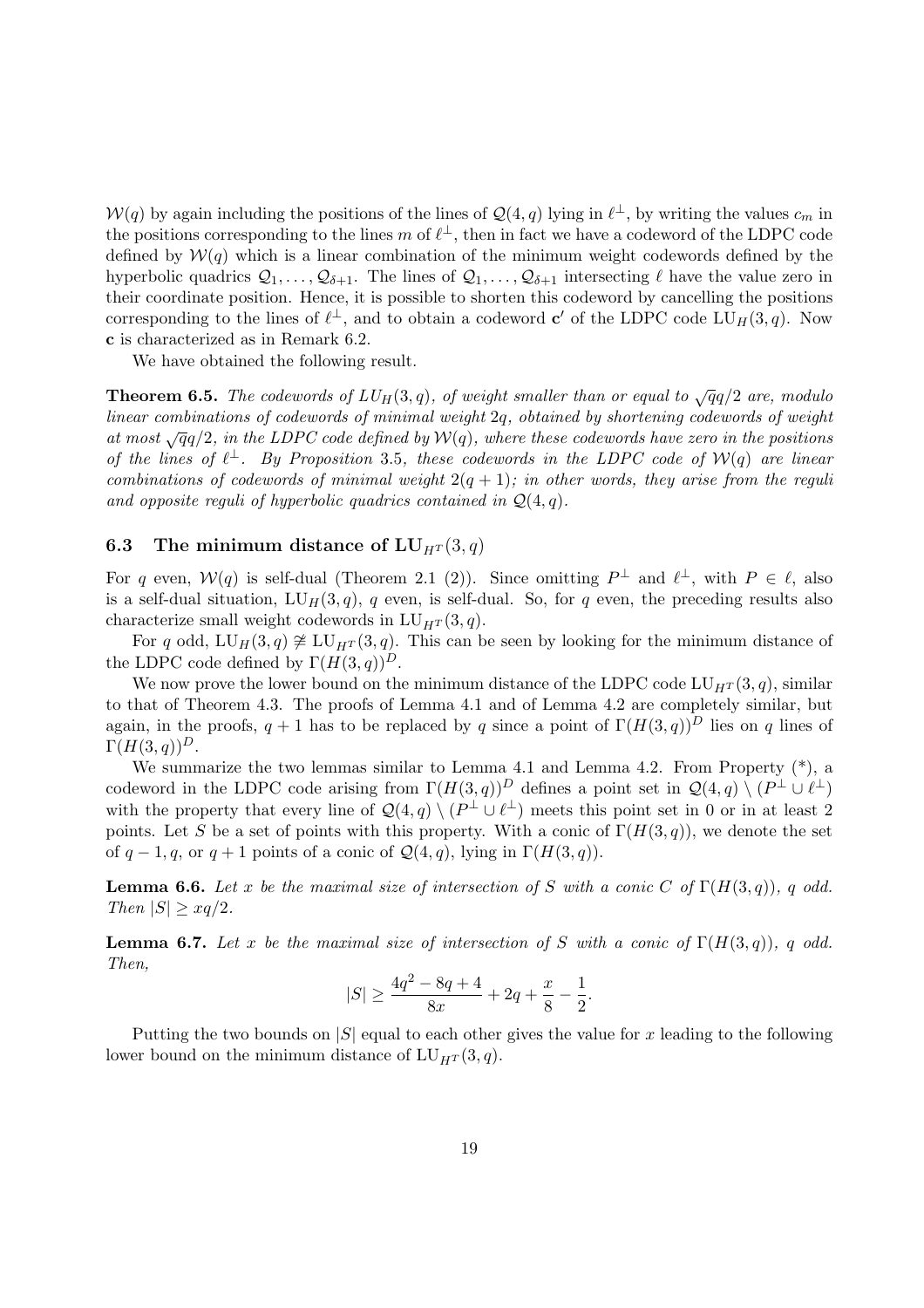$\mathcal{W}(q)$  by again including the positions of the lines of  $\mathcal{Q}(4,q)$  lying in  $\ell^{\perp}$ , by writing the values  $c_m$  in the positions corresponding to the lines m of  $\ell^{\perp}$ , then in fact we have a codeword of the LDPC code defined by  $W(q)$  which is a linear combination of the minimum weight codewords defined by the hyperbolic quadrics  $\mathcal{Q}_1, \ldots, \mathcal{Q}_{\delta+1}$ . The lines of  $\mathcal{Q}_1, \ldots, \mathcal{Q}_{\delta+1}$  intersecting  $\ell$  have the value zero in their coordinate position. Hence, it is possible to shorten this codeword by cancelling the positions corresponding to the lines of  $\ell^{\perp}$ , and to obtain a codeword c' of the LDPC code  $LU_H(3, q)$ . Now c is characterized as in Remark 6.2.

We have obtained the following result.

**Theorem 6.5.** The codewords of  $LU_H(3,q)$ , of weight smaller than or equal to  $\sqrt{q}q/2$  are, modulo linear combinations of codewords of minimal weight 2q, obtained by shortening codewords of weight at most  $\sqrt{q}q/2$ , in the LDPC code defined by  $W(q)$ , where these codewords have zero in the positions of the lines of  $\ell^{\perp}$ . By Proposition 3.5, these codewords in the LDPC code of  $\mathcal{W}(q)$  are linear combinations of codewords of minimal weight  $2(q + 1)$ ; in other words, they arise from the reguli and opposite reguli of hyperbolic quadrics contained in  $\mathcal{Q}(4,q)$ .

#### 6.3 The minimum distance of  $LU_{H^T}(3, q)$

For q even,  $W(q)$  is self-dual (Theorem 2.1 (2)). Since omitting  $P^{\perp}$  and  $\ell^{\perp}$ , with  $P \in \ell$ , also is a self-dual situation,  $LU_H(3, q)$ , q even, is self-dual. So, for q even, the preceding results also characterize small weight codewords in  $LU_{HT}(3, q)$ .

For q odd, LU<sub>H</sub>(3, q)  $\not\cong$  LU<sub>HT</sub>(3, q). This can be seen by looking for the minimum distance of the LDPC code defined by  $\Gamma(H(3,q))^D$ .

We now prove the lower bound on the minimum distance of the LDPC code  $LU_{HT}(3, q)$ , similar to that of Theorem 4.3. The proofs of Lemma 4.1 and of Lemma 4.2 are completely similar, but again, in the proofs,  $q + 1$  has to be replaced by q since a point of  $\Gamma(H(3, q))^D$  lies on q lines of  $\Gamma(H(3,q))^D$ .

We summarize the two lemmas similar to Lemma 4.1 and Lemma 4.2. From Property  $(*)$ , a codeword in the LDPC code arising from  $\Gamma(H(3,q))^D$  defines a point set in  $\mathcal{Q}(4,q) \setminus (P^{\perp} \cup \ell^{\perp})$ with the property that every line of  $\mathcal{Q}(4,q) \setminus (P^{\perp} \cup \ell^{\perp})$  meets this point set in 0 or in at least 2 points. Let S be a set of points with this property. With a conic of  $\Gamma(H(3,q))$ , we denote the set of  $q-1, q$ , or  $q+1$  points of a conic of  $\mathcal{Q}(4, q)$ , lying in  $\Gamma(H(3, q))$ .

**Lemma 6.6.** Let x be the maximal size of intersection of S with a conic C of  $\Gamma(H(3,q))$ , q odd. Then  $|S| \geq xq/2$ .

**Lemma 6.7.** Let x be the maximal size of intersection of S with a conic of  $\Gamma(H(3,q))$ , q odd. Then,

$$
|S| \ge \frac{4q^2 - 8q + 4}{8x} + 2q + \frac{x}{8} - \frac{1}{2}.
$$

Putting the two bounds on  $|S|$  equal to each other gives the value for x leading to the following lower bound on the minimum distance of  $LU_{H^T}(3, q)$ .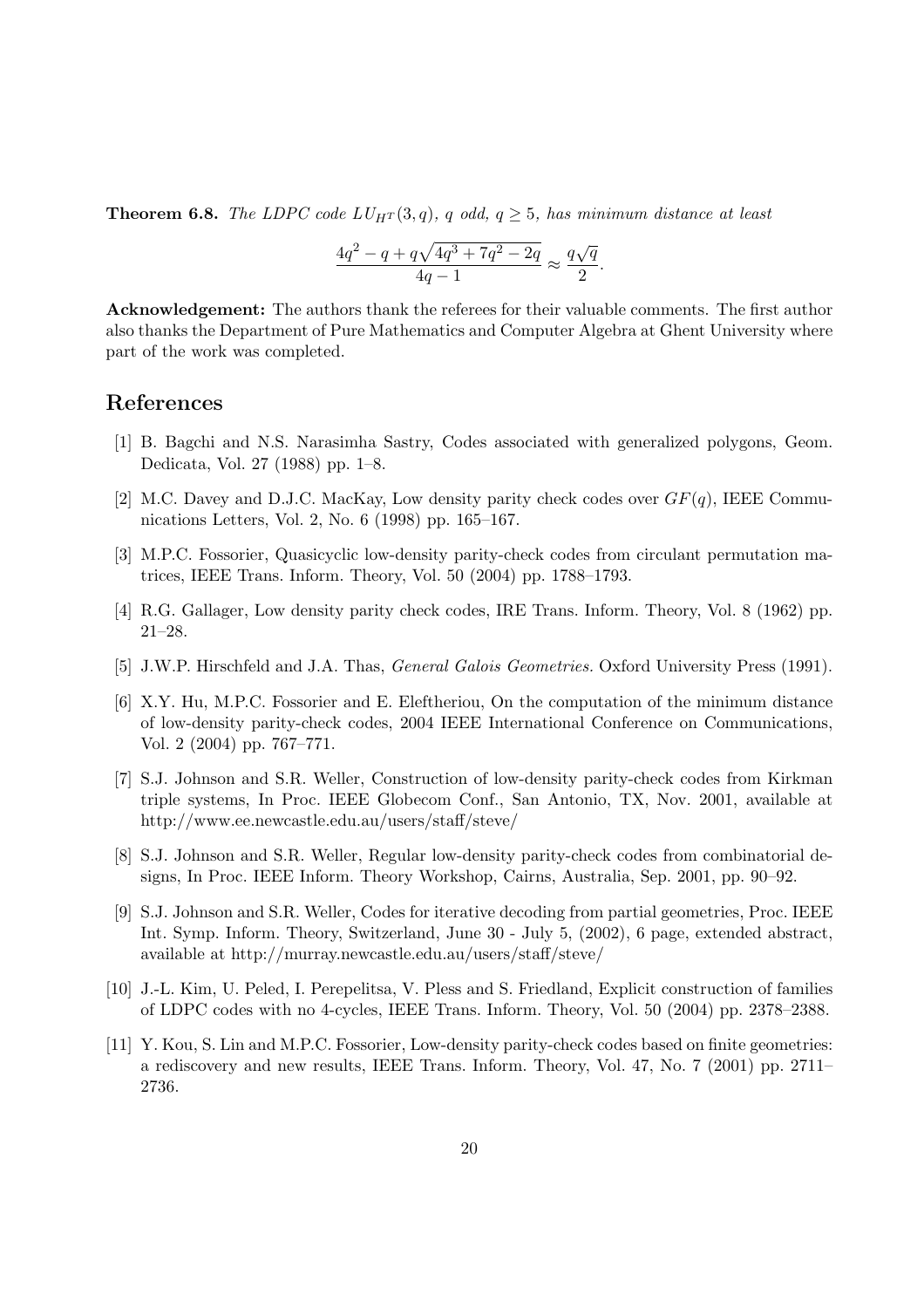**Theorem 6.8.** The LDPC code  $LU_{HT}(3,q)$ , q odd,  $q \geq 5$ , has minimum distance at least

$$
\frac{4q^2 - q + q\sqrt{4q^3 + 7q^2 - 2q}}{4q - 1} \approx \frac{q\sqrt{q}}{2}.
$$

Acknowledgement: The authors thank the referees for their valuable comments. The first author also thanks the Department of Pure Mathematics and Computer Algebra at Ghent University where part of the work was completed.

### References

- [1] B. Bagchi and N.S. Narasimha Sastry, Codes associated with generalized polygons, Geom. Dedicata, Vol. 27 (1988) pp. 1–8.
- [2] M.C. Davey and D.J.C. MacKay, Low density parity check codes over  $GF(q)$ , IEEE Communications Letters, Vol. 2, No. 6 (1998) pp. 165–167.
- [3] M.P.C. Fossorier, Quasicyclic low-density parity-check codes from circulant permutation matrices, IEEE Trans. Inform. Theory, Vol. 50 (2004) pp. 1788–1793.
- [4] R.G. Gallager, Low density parity check codes, IRE Trans. Inform. Theory, Vol. 8 (1962) pp. 21–28.
- [5] J.W.P. Hirschfeld and J.A. Thas, *General Galois Geometries*. Oxford University Press (1991).
- [6] X.Y. Hu, M.P.C. Fossorier and E. Eleftheriou, On the computation of the minimum distance of low-density parity-check codes, 2004 IEEE International Conference on Communications, Vol. 2 (2004) pp. 767–771.
- [7] S.J. Johnson and S.R. Weller, Construction of low-density parity-check codes from Kirkman triple systems, In Proc. IEEE Globecom Conf., San Antonio, TX, Nov. 2001, available at http://www.ee.newcastle.edu.au/users/staff/steve/
- [8] S.J. Johnson and S.R. Weller, Regular low-density parity-check codes from combinatorial designs, In Proc. IEEE Inform. Theory Workshop, Cairns, Australia, Sep. 2001, pp. 90–92.
- [9] S.J. Johnson and S.R. Weller, Codes for iterative decoding from partial geometries, Proc. IEEE Int. Symp. Inform. Theory, Switzerland, June 30 - July 5, (2002), 6 page, extended abstract, available at http://murray.newcastle.edu.au/users/staff/steve/
- [10] J.-L. Kim, U. Peled, I. Perepelitsa, V. Pless and S. Friedland, Explicit construction of families of LDPC codes with no 4-cycles, IEEE Trans. Inform. Theory, Vol. 50 (2004) pp. 2378–2388.
- [11] Y. Kou, S. Lin and M.P.C. Fossorier, Low-density parity-check codes based on finite geometries: a rediscovery and new results, IEEE Trans. Inform. Theory, Vol. 47, No. 7 (2001) pp. 2711– 2736.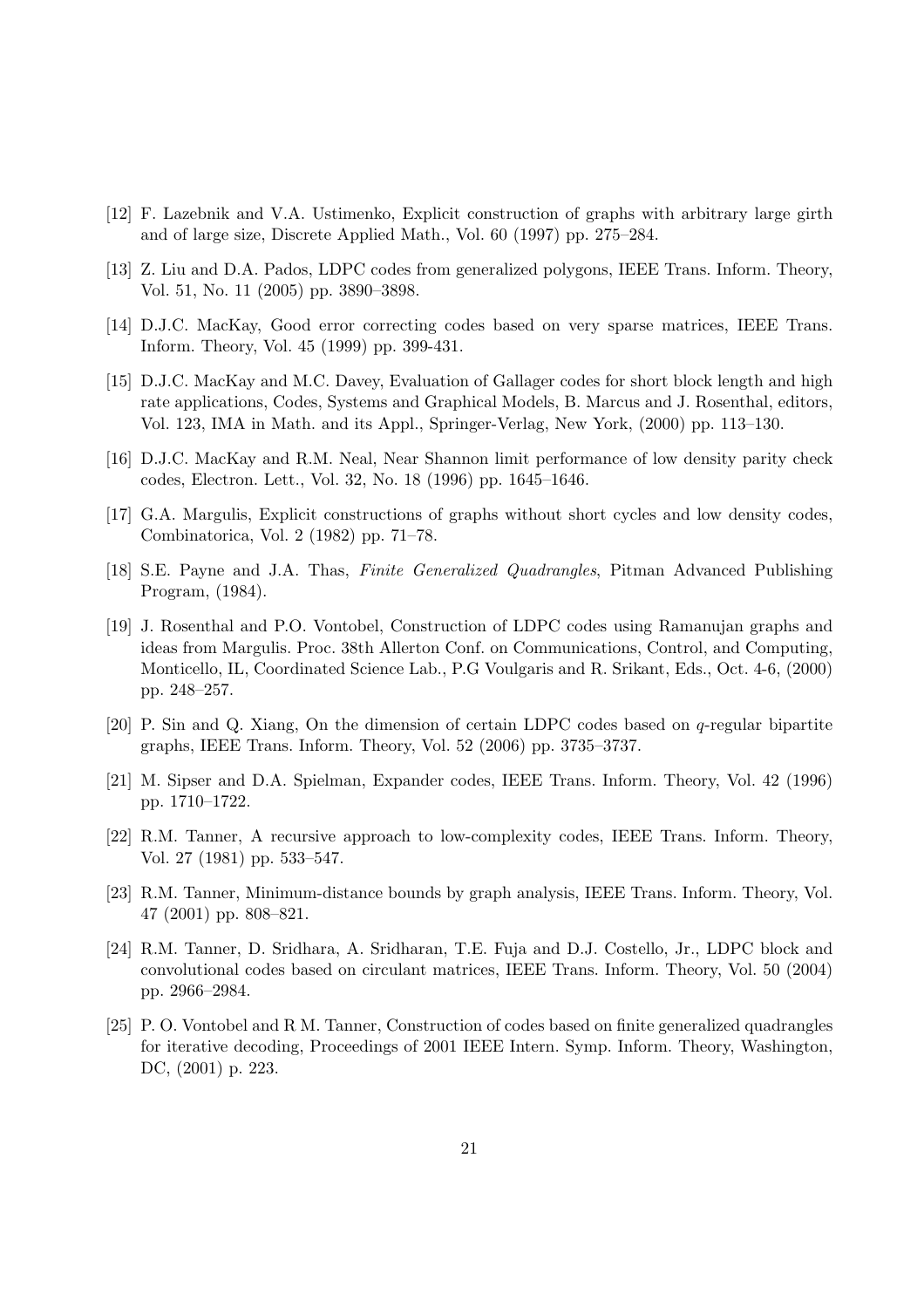- [12] F. Lazebnik and V.A. Ustimenko, Explicit construction of graphs with arbitrary large girth and of large size, Discrete Applied Math., Vol. 60 (1997) pp. 275–284.
- [13] Z. Liu and D.A. Pados, LDPC codes from generalized polygons, IEEE Trans. Inform. Theory, Vol. 51, No. 11 (2005) pp. 3890–3898.
- [14] D.J.C. MacKay, Good error correcting codes based on very sparse matrices, IEEE Trans. Inform. Theory, Vol. 45 (1999) pp. 399-431.
- [15] D.J.C. MacKay and M.C. Davey, Evaluation of Gallager codes for short block length and high rate applications, Codes, Systems and Graphical Models, B. Marcus and J. Rosenthal, editors, Vol. 123, IMA in Math. and its Appl., Springer-Verlag, New York, (2000) pp. 113–130.
- [16] D.J.C. MacKay and R.M. Neal, Near Shannon limit performance of low density parity check codes, Electron. Lett., Vol. 32, No. 18 (1996) pp. 1645–1646.
- [17] G.A. Margulis, Explicit constructions of graphs without short cycles and low density codes, Combinatorica, Vol. 2 (1982) pp. 71–78.
- [18] S.E. Payne and J.A. Thas, Finite Generalized Quadrangles, Pitman Advanced Publishing Program, (1984).
- [19] J. Rosenthal and P.O. Vontobel, Construction of LDPC codes using Ramanujan graphs and ideas from Margulis. Proc. 38th Allerton Conf. on Communications, Control, and Computing, Monticello, IL, Coordinated Science Lab., P.G Voulgaris and R. Srikant, Eds., Oct. 4-6, (2000) pp. 248–257.
- [20] P. Sin and Q. Xiang, On the dimension of certain LDPC codes based on q-regular bipartite graphs, IEEE Trans. Inform. Theory, Vol. 52 (2006) pp. 3735–3737.
- [21] M. Sipser and D.A. Spielman, Expander codes, IEEE Trans. Inform. Theory, Vol. 42 (1996) pp. 1710–1722.
- [22] R.M. Tanner, A recursive approach to low-complexity codes, IEEE Trans. Inform. Theory, Vol. 27 (1981) pp. 533–547.
- [23] R.M. Tanner, Minimum-distance bounds by graph analysis, IEEE Trans. Inform. Theory, Vol. 47 (2001) pp. 808–821.
- [24] R.M. Tanner, D. Sridhara, A. Sridharan, T.E. Fuja and D.J. Costello, Jr., LDPC block and convolutional codes based on circulant matrices, IEEE Trans. Inform. Theory, Vol. 50 (2004) pp. 2966–2984.
- [25] P. O. Vontobel and R M. Tanner, Construction of codes based on finite generalized quadrangles for iterative decoding, Proceedings of 2001 IEEE Intern. Symp. Inform. Theory, Washington, DC, (2001) p. 223.